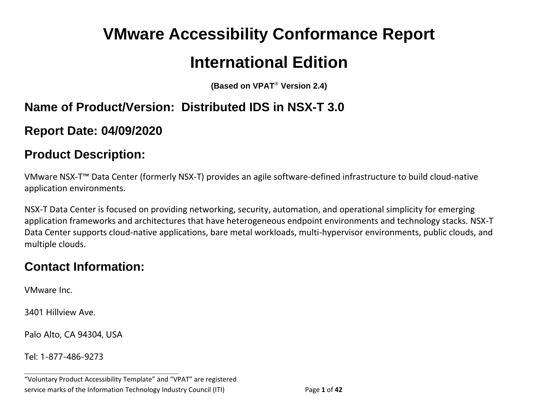# **VMware Accessibility Conformance Report International Edition**

**(Based on VPAT**® **Version 2.4)**

## **Name of Product/Version: Distributed IDS in NSX-T 3.0**

**Report Date: 04/09/2020**

#### **Product Description:**

VMware NSX-T™ Data Center (formerly NSX-T) provides an agile software-defined infrastructure to build cloud-native application environments.

NSX-T Data Center is focused on providing networking, security, automation, and operational simplicity for emerging application frameworks and architectures that have heterogeneous endpoint environments and technology stacks. NSX-T Data Center supports cloud-native applications, bare metal workloads, multi-hypervisor environments, public clouds, and multiple clouds.

## **Contact Information:**

VMware Inc.

3401 Hillview Ave.

Palo Alto, CA 94304, USA

Tel: 1-877-486-9273

**\_\_\_\_\_\_\_\_\_\_\_\_\_\_\_\_\_\_\_\_\_\_\_\_\_\_\_\_\_\_\_\_\_\_**

<sup>&</sup>quot;Voluntary Product Accessibility Template" and "VPAT" are registered service marks of the Information Technology Industry Council (ITI) Page **1** of **42**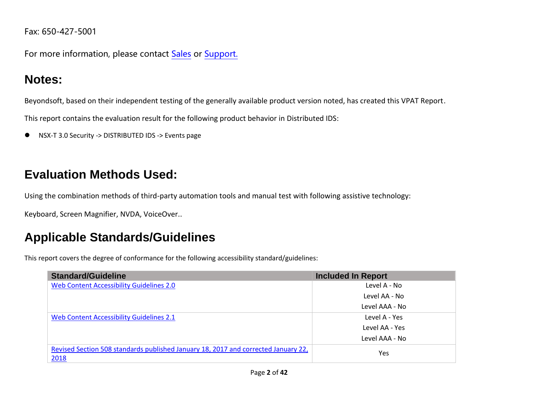Fax: 650-427-5001

For more information, please contact [Sales](https://www.vmware.com/company/contact_sales.html) or [Support.](https://www.vmware.com/support/contacts.html)

# **Notes:**

Beyondsoft, based on their independent testing of the generally available product version noted, has created this VPAT Report.

This report contains the evaluation result for the following product behavior in Distributed IDS:

● NSX-T 3.0 Security -> DISTRIBUTED IDS -> Events page

# **Evaluation Methods Used:**

Using the combination methods of third-party automation tools and manual test with following assistive technology:

Keyboard, Screen Magnifier, NVDA, VoiceOver..

# **Applicable Standards/Guidelines**

This report covers the degree of conformance for the following accessibility standard/guidelines:

| <b>Standard/Guideline</b>                                                                  | <b>Included In Report</b> |
|--------------------------------------------------------------------------------------------|---------------------------|
| Web Content Accessibility Guidelines 2.0                                                   | Level A - No              |
|                                                                                            | Level AA - No             |
|                                                                                            | Level AAA - No            |
| Web Content Accessibility Guidelines 2.1                                                   | Level A - Yes             |
|                                                                                            | Level AA - Yes            |
|                                                                                            | Level AAA - No            |
| Revised Section 508 standards published January 18, 2017 and corrected January 22,<br>2018 | Yes                       |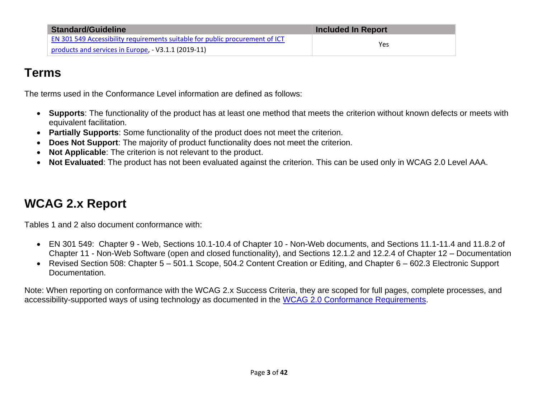| <b>Standard/Guideline</b>                                                           | <b>Included In Report</b> |
|-------------------------------------------------------------------------------------|---------------------------|
| <b>EN 301 549 Accessibility requirements suitable for public procurement of ICT</b> | Yes                       |
| products and services in Europe, - V3.1.1 (2019-11)                                 |                           |

#### **Terms**

The terms used in the Conformance Level information are defined as follows:

- **Supports**: The functionality of the product has at least one method that meets the criterion without known defects or meets with equivalent facilitation.
- **Partially Supports**: Some functionality of the product does not meet the criterion.
- **Does Not Support:** The majority of product functionality does not meet the criterion.
- **Not Applicable**: The criterion is not relevant to the product.
- **Not Evaluated**: The product has not been evaluated against the criterion. This can be used only in WCAG 2.0 Level AAA.

# <span id="page-2-0"></span>**WCAG 2.x Report**

Tables 1 and 2 also document conformance with:

- EN 301 549: Chapter 9 Web, Sections 10.1-10.4 of Chapter 10 Non-Web documents, and Sections 11.1-11.4 and 11.8.2 of Chapter 11 - Non-Web Software (open and closed functionality), and Sections 12.1.2 and 12.2.4 of Chapter 12 – Documentation
- Revised Section 508: Chapter 5 501.1 Scope, 504.2 Content Creation or Editing, and Chapter 6 602.3 Electronic Support Documentation.

Note: When reporting on conformance with the WCAG 2.x Success Criteria, they are scoped for full pages, complete processes, and accessibility-supported ways of using technology as documented in the [WCAG 2.0 Conformance Requirements.](https://www.w3.org/TR/WCAG20/#conformance-reqs)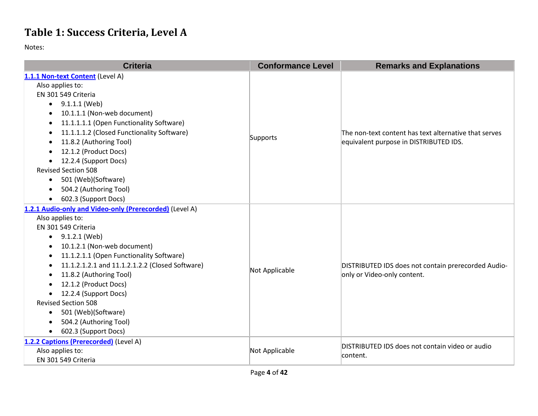## **Table 1: Success Criteria, Level A**

| <b>Criteria</b>                                              | <b>Conformance Level</b> | <b>Remarks and Explanations</b>                                                    |
|--------------------------------------------------------------|--------------------------|------------------------------------------------------------------------------------|
| 1.1.1 Non-text Content (Level A)                             |                          |                                                                                    |
| Also applies to:                                             |                          | The non-text content has text alternative that serves                              |
| EN 301 549 Criteria                                          |                          |                                                                                    |
| 9.1.1.1 (Web)<br>$\bullet$                                   |                          |                                                                                    |
| 10.1.1.1 (Non-web document)                                  |                          |                                                                                    |
| 11.1.1.1.1 (Open Functionality Software)                     |                          |                                                                                    |
| 11.1.1.1.2 (Closed Functionality Software)                   |                          |                                                                                    |
| 11.8.2 (Authoring Tool)                                      | Supports                 | equivalent purpose in DISTRIBUTED IDS.                                             |
| 12.1.2 (Product Docs)                                        |                          |                                                                                    |
| 12.2.4 (Support Docs)                                        |                          |                                                                                    |
| <b>Revised Section 508</b>                                   |                          |                                                                                    |
| 501 (Web)(Software)<br>$\bullet$                             |                          |                                                                                    |
| 504.2 (Authoring Tool)                                       |                          |                                                                                    |
| 602.3 (Support Docs)                                         |                          |                                                                                    |
| 1.2.1 Audio-only and Video-only (Prerecorded) (Level A)      |                          |                                                                                    |
| Also applies to:                                             |                          | DISTRIBUTED IDS does not contain prerecorded Audio-<br>only or Video-only content. |
| EN 301 549 Criteria                                          |                          |                                                                                    |
| 9.1.2.1 (Web)<br>$\bullet$                                   |                          |                                                                                    |
| 10.1.2.1 (Non-web document)                                  |                          |                                                                                    |
| 11.1.2.1.1 (Open Functionality Software)                     |                          |                                                                                    |
| 11.1.2.1.2.1 and 11.1.2.1.2.2 (Closed Software)<br>$\bullet$ | Not Applicable           |                                                                                    |
| 11.8.2 (Authoring Tool)<br>$\bullet$                         |                          |                                                                                    |
| 12.1.2 (Product Docs)                                        |                          |                                                                                    |
| 12.2.4 (Support Docs)<br>$\bullet$                           |                          |                                                                                    |
| <b>Revised Section 508</b>                                   |                          |                                                                                    |
| 501 (Web)(Software)<br>$\bullet$                             |                          |                                                                                    |
| 504.2 (Authoring Tool)                                       |                          |                                                                                    |
| 602.3 (Support Docs)<br>$\bullet$                            |                          |                                                                                    |
| 1.2.2 Captions (Prerecorded) (Level A)                       |                          | DISTRIBUTED IDS does not contain video or audio                                    |
| Also applies to:                                             | Not Applicable           | content.                                                                           |
| EN 301 549 Criteria                                          |                          |                                                                                    |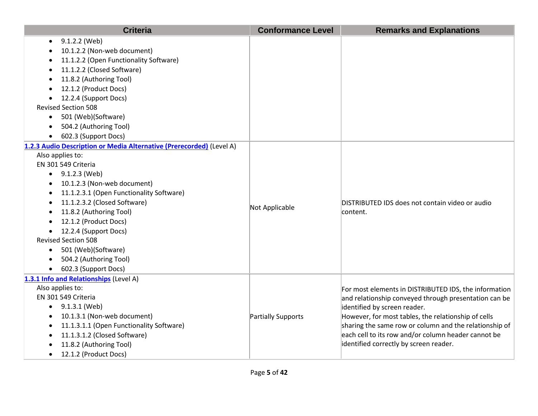| <b>Criteria</b>                                                      | <b>Conformance Level</b> | <b>Remarks and Explanations</b>                        |
|----------------------------------------------------------------------|--------------------------|--------------------------------------------------------|
| 9.1.2.2 (Web)                                                        |                          |                                                        |
| 10.1.2.2 (Non-web document)                                          |                          |                                                        |
| 11.1.2.2 (Open Functionality Software)                               |                          |                                                        |
| 11.1.2.2 (Closed Software)                                           |                          |                                                        |
| 11.8.2 (Authoring Tool)                                              |                          |                                                        |
| 12.1.2 (Product Docs)<br>$\bullet$                                   |                          |                                                        |
| 12.2.4 (Support Docs)                                                |                          |                                                        |
| <b>Revised Section 508</b>                                           |                          |                                                        |
| 501 (Web)(Software)<br>$\bullet$                                     |                          |                                                        |
| 504.2 (Authoring Tool)                                               |                          |                                                        |
| 602.3 (Support Docs)                                                 |                          |                                                        |
| 1.2.3 Audio Description or Media Alternative (Prerecorded) (Level A) |                          |                                                        |
| Also applies to:                                                     |                          |                                                        |
| EN 301 549 Criteria                                                  |                          |                                                        |
| $\bullet$ 9.1.2.3 (Web)                                              |                          |                                                        |
| 10.1.2.3 (Non-web document)<br>$\bullet$                             |                          |                                                        |
| 11.1.2.3.1 (Open Functionality Software)<br>$\bullet$                |                          |                                                        |
| 11.1.2.3.2 (Closed Software)                                         | Not Applicable           | DISTRIBUTED IDS does not contain video or audio        |
| 11.8.2 (Authoring Tool)                                              |                          | content.                                               |
| 12.1.2 (Product Docs)                                                |                          |                                                        |
| 12.2.4 (Support Docs)                                                |                          |                                                        |
| <b>Revised Section 508</b>                                           |                          |                                                        |
| 501 (Web)(Software)<br>$\bullet$                                     |                          |                                                        |
| 504.2 (Authoring Tool)<br>$\bullet$                                  |                          |                                                        |
| 602.3 (Support Docs)<br>$\bullet$                                    |                          |                                                        |
| 1.3.1 Info and Relationships (Level A)                               |                          |                                                        |
| Also applies to:                                                     |                          | For most elements in DISTRIBUTED IDS, the information  |
| EN 301 549 Criteria                                                  |                          | and relationship conveyed through presentation can be  |
| $\bullet$ 9.1.3.1 (Web)                                              |                          | identified by screen reader.                           |
| 10.1.3.1 (Non-web document)<br>$\bullet$                             | Partially Supports       | However, for most tables, the relationship of cells    |
| 11.1.3.1.1 (Open Functionality Software)                             |                          | sharing the same row or column and the relationship of |
| 11.1.3.1.2 (Closed Software)<br>$\bullet$                            |                          | each cell to its row and/or column header cannot be    |
| 11.8.2 (Authoring Tool)                                              |                          | identified correctly by screen reader.                 |
| 12.1.2 (Product Docs)<br>$\bullet$                                   |                          |                                                        |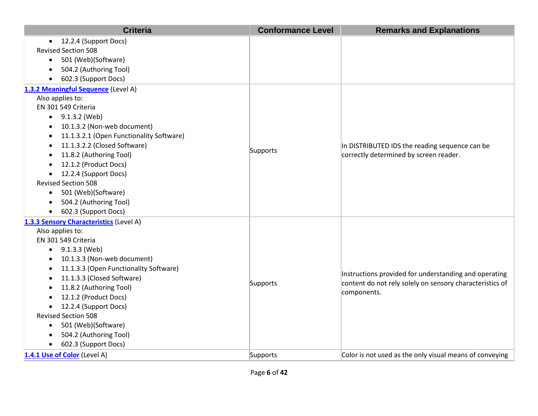| <b>Criteria</b>                                     | <b>Conformance Level</b> | <b>Remarks and Explanations</b>                          |
|-----------------------------------------------------|--------------------------|----------------------------------------------------------|
| • 12.2.4 (Support Docs)                             |                          |                                                          |
| <b>Revised Section 508</b>                          |                          |                                                          |
| 501 (Web)(Software)<br>$\bullet$                    |                          |                                                          |
| 504.2 (Authoring Tool)                              |                          |                                                          |
| 602.3 (Support Docs)                                |                          |                                                          |
| 1.3.2 Meaningful Sequence (Level A)                 |                          |                                                          |
| Also applies to:                                    |                          |                                                          |
| EN 301 549 Criteria                                 |                          |                                                          |
| $\bullet$ 9.1.3.2 (Web)                             |                          |                                                          |
| 10.1.3.2 (Non-web document)                         |                          |                                                          |
| 11.1.3.2.1 (Open Functionality Software)            |                          |                                                          |
| 11.1.3.2.2 (Closed Software)                        |                          | In DISTRIBUTED IDS the reading sequence can be           |
| 11.8.2 (Authoring Tool)                             | Supports                 | correctly determined by screen reader.                   |
| 12.1.2 (Product Docs)                               |                          |                                                          |
| 12.2.4 (Support Docs)<br>$\bullet$                  |                          |                                                          |
| <b>Revised Section 508</b>                          |                          |                                                          |
| 501 (Web)(Software)<br>$\bullet$                    |                          |                                                          |
| 504.2 (Authoring Tool)                              |                          |                                                          |
| 602.3 (Support Docs)                                |                          |                                                          |
| 1.3.3 Sensory Characteristics (Level A)             |                          |                                                          |
| Also applies to:                                    |                          |                                                          |
| EN 301 549 Criteria                                 |                          |                                                          |
| 9.1.3.3 (Web)<br>$\bullet$                          |                          |                                                          |
| 10.1.3.3 (Non-web document)                         |                          |                                                          |
| 11.1.3.3 (Open Functionality Software)<br>$\bullet$ |                          | Instructions provided for understanding and operating    |
| 11.1.3.3 (Closed Software)                          | Supports                 | content do not rely solely on sensory characteristics of |
| 11.8.2 (Authoring Tool)                             |                          | components.                                              |
| 12.1.2 (Product Docs)                               |                          |                                                          |
| 12.2.4 (Support Docs)                               |                          |                                                          |
| <b>Revised Section 508</b>                          |                          |                                                          |
| 501 (Web)(Software)<br>$\bullet$                    |                          |                                                          |
| 504.2 (Authoring Tool)                              |                          |                                                          |
| 602.3 (Support Docs)<br>$\bullet$                   |                          |                                                          |
| 1.4.1 Use of Color (Level A)                        | Supports                 | Color is not used as the only visual means of conveying  |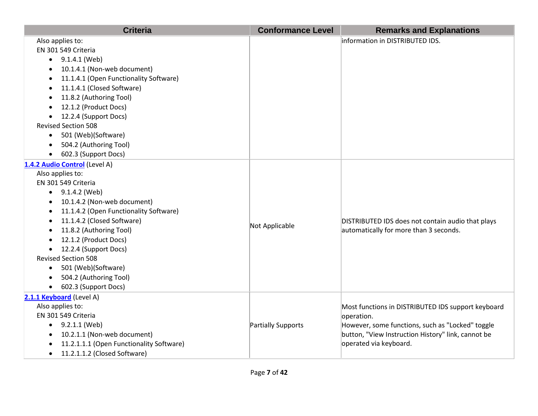| <b>Criteria</b>                           | <b>Conformance Level</b> | <b>Remarks and Explanations</b>                    |
|-------------------------------------------|--------------------------|----------------------------------------------------|
| Also applies to:                          |                          | information in DISTRIBUTED IDS.                    |
| EN 301 549 Criteria                       |                          |                                                    |
| $\bullet$ 9.1.4.1 (Web)                   |                          |                                                    |
| 10.1.4.1 (Non-web document)               |                          |                                                    |
| 11.1.4.1 (Open Functionality Software)    |                          |                                                    |
| 11.1.4.1 (Closed Software)                |                          |                                                    |
| 11.8.2 (Authoring Tool)<br>$\bullet$      |                          |                                                    |
| 12.1.2 (Product Docs)                     |                          |                                                    |
| 12.2.4 (Support Docs)<br>$\bullet$        |                          |                                                    |
| <b>Revised Section 508</b>                |                          |                                                    |
| 501 (Web)(Software)<br>$\bullet$          |                          |                                                    |
| 504.2 (Authoring Tool)                    |                          |                                                    |
| 602.3 (Support Docs)<br>$\bullet$         |                          |                                                    |
| 1.4.2 Audio Control (Level A)             |                          |                                                    |
| Also applies to:                          |                          |                                                    |
| EN 301 549 Criteria                       |                          |                                                    |
| $\bullet$ 9.1.4.2 (Web)                   |                          |                                                    |
| 10.1.4.2 (Non-web document)<br>$\bullet$  |                          |                                                    |
| 11.1.4.2 (Open Functionality Software)    |                          |                                                    |
| 11.1.4.2 (Closed Software)                | Not Applicable           | DISTRIBUTED IDS does not contain audio that plays  |
| 11.8.2 (Authoring Tool)                   |                          | automatically for more than 3 seconds.             |
| 12.1.2 (Product Docs)                     |                          |                                                    |
| 12.2.4 (Support Docs)                     |                          |                                                    |
| <b>Revised Section 508</b>                |                          |                                                    |
| • 501 (Web)(Software)                     |                          |                                                    |
| 504.2 (Authoring Tool)<br>$\bullet$       |                          |                                                    |
| 602.3 (Support Docs)<br>$\bullet$         |                          |                                                    |
| 2.1.1 Keyboard (Level A)                  |                          |                                                    |
| Also applies to:                          |                          | Most functions in DISTRIBUTED IDS support keyboard |
| EN 301 549 Criteria                       |                          | operation.                                         |
| $\bullet$ 9.2.1.1 (Web)                   | Partially Supports       | However, some functions, such as "Locked" toggle   |
| 10.2.1.1 (Non-web document)<br>$\bullet$  |                          | button, "View Instruction History" link, cannot be |
| 11.2.1.1.1 (Open Functionality Software)  |                          | operated via keyboard.                             |
| 11.2.1.1.2 (Closed Software)<br>$\bullet$ |                          |                                                    |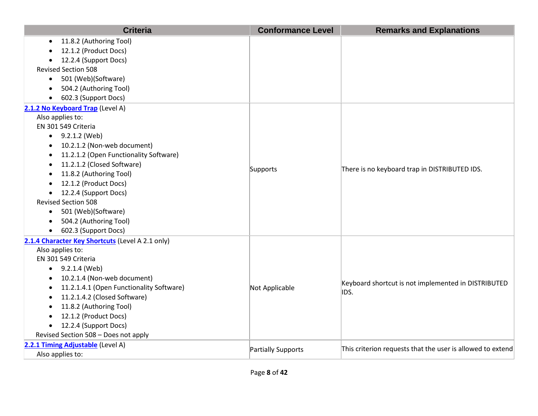| <b>Criteria</b>                                  | <b>Conformance Level</b> | <b>Remarks and Explanations</b>                            |
|--------------------------------------------------|--------------------------|------------------------------------------------------------|
| 11.8.2 (Authoring Tool)                          |                          |                                                            |
| 12.1.2 (Product Docs)                            |                          |                                                            |
| 12.2.4 (Support Docs)                            |                          |                                                            |
| <b>Revised Section 508</b>                       |                          |                                                            |
| 501 (Web)(Software)<br>$\bullet$                 |                          |                                                            |
| 504.2 (Authoring Tool)<br>$\bullet$              |                          |                                                            |
| 602.3 (Support Docs)<br>$\bullet$                |                          |                                                            |
| 2.1.2 No Keyboard Trap (Level A)                 |                          |                                                            |
| Also applies to:                                 |                          |                                                            |
| EN 301 549 Criteria                              |                          |                                                            |
| 9.2.1.2 (Web)<br>$\bullet$                       |                          |                                                            |
| 10.2.1.2 (Non-web document)                      |                          |                                                            |
| 11.2.1.2 (Open Functionality Software)           | Supports                 | There is no keyboard trap in DISTRIBUTED IDS.              |
| 11.2.1.2 (Closed Software)                       |                          |                                                            |
| 11.8.2 (Authoring Tool)<br>$\bullet$             |                          |                                                            |
| 12.1.2 (Product Docs)<br>$\bullet$               |                          |                                                            |
| 12.2.4 (Support Docs)<br>$\bullet$               |                          |                                                            |
| <b>Revised Section 508</b>                       |                          |                                                            |
| 501 (Web)(Software)<br>$\bullet$                 |                          |                                                            |
| 504.2 (Authoring Tool)                           |                          |                                                            |
| 602.3 (Support Docs)                             |                          |                                                            |
| 2.1.4 Character Key Shortcuts (Level A 2.1 only) |                          |                                                            |
| Also applies to:                                 |                          |                                                            |
| EN 301 549 Criteria                              |                          |                                                            |
| $\bullet$ 9.2.1.4 (Web)                          |                          |                                                            |
| 10.2.1.4 (Non-web document)<br>$\bullet$         |                          | Keyboard shortcut is not implemented in DISTRIBUTED        |
| 11.2.1.4.1 (Open Functionality Software)         | Not Applicable           | IDS.                                                       |
| 11.2.1.4.2 (Closed Software)                     |                          |                                                            |
| 11.8.2 (Authoring Tool)                          |                          |                                                            |
| 12.1.2 (Product Docs)                            |                          |                                                            |
| 12.2.4 (Support Docs)<br>$\bullet$               |                          |                                                            |
| Revised Section 508 - Does not apply             |                          |                                                            |
| 2.2.1 Timing Adjustable (Level A)                |                          | This criterion requests that the user is allowed to extend |
| Also applies to:                                 | Partially Supports       |                                                            |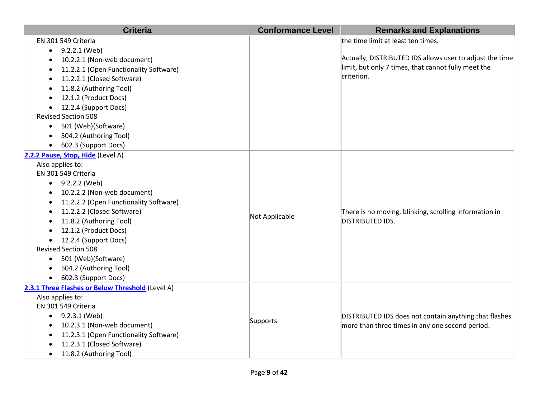| <b>Criteria</b>                                     | <b>Conformance Level</b> | <b>Remarks and Explanations</b>                          |
|-----------------------------------------------------|--------------------------|----------------------------------------------------------|
| EN 301 549 Criteria                                 |                          | the time limit at least ten times.                       |
| 9.2.2.1 (Web)                                       |                          |                                                          |
| 10.2.2.1 (Non-web document)                         |                          | Actually, DISTRIBUTED IDS allows user to adjust the time |
| 11.2.2.1 (Open Functionality Software)              |                          | limit, but only 7 times, that cannot fully meet the      |
| 11.2.2.1 (Closed Software)<br>٠                     |                          | criterion.                                               |
| 11.8.2 (Authoring Tool)<br>$\bullet$                |                          |                                                          |
| 12.1.2 (Product Docs)                               |                          |                                                          |
| 12.2.4 (Support Docs)                               |                          |                                                          |
| <b>Revised Section 508</b>                          |                          |                                                          |
| 501 (Web)(Software)<br>$\bullet$                    |                          |                                                          |
| 504.2 (Authoring Tool)                              |                          |                                                          |
| 602.3 (Support Docs)                                |                          |                                                          |
| 2.2.2 Pause, Stop, Hide (Level A)                   |                          |                                                          |
| Also applies to:                                    |                          |                                                          |
| EN 301 549 Criteria                                 |                          |                                                          |
| $\bullet$ 9.2.2.2 (Web)                             |                          |                                                          |
| 10.2.2.2 (Non-web document)<br>$\bullet$            |                          |                                                          |
| 11.2.2.2 (Open Functionality Software)<br>٠         |                          |                                                          |
| 11.2.2.2 (Closed Software)                          | Not Applicable           | There is no moving, blinking, scrolling information in   |
| 11.8.2 (Authoring Tool)                             |                          | DISTRIBUTED IDS.                                         |
| 12.1.2 (Product Docs)                               |                          |                                                          |
| 12.2.4 (Support Docs)                               |                          |                                                          |
| <b>Revised Section 508</b>                          |                          |                                                          |
| 501 (Web)(Software)<br>$\bullet$                    |                          |                                                          |
| 504.2 (Authoring Tool)                              |                          |                                                          |
| 602.3 (Support Docs)                                |                          |                                                          |
| 2.3.1 Three Flashes or Below Threshold (Level A)    |                          |                                                          |
| Also applies to:                                    |                          |                                                          |
| EN 301 549 Criteria                                 |                          |                                                          |
| $\bullet$ 9.2.3.1 (Web)                             | Supports                 | DISTRIBUTED IDS does not contain anything that flashes   |
| 10.2.3.1 (Non-web document)<br>$\bullet$            |                          | more than three times in any one second period.          |
| 11.2.3.1 (Open Functionality Software)<br>$\bullet$ |                          |                                                          |
| 11.2.3.1 (Closed Software)                          |                          |                                                          |
| 11.8.2 (Authoring Tool)                             |                          |                                                          |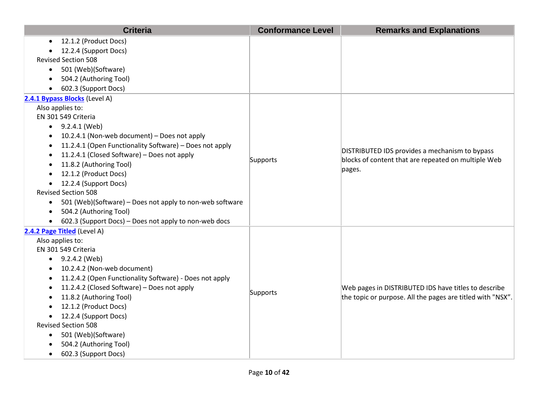|           | <b>Criteria</b>                                          | <b>Conformance Level</b> | <b>Remarks and Explanations</b>                            |
|-----------|----------------------------------------------------------|--------------------------|------------------------------------------------------------|
| $\bullet$ | 12.1.2 (Product Docs)                                    |                          |                                                            |
|           | 12.2.4 (Support Docs)                                    |                          |                                                            |
|           | <b>Revised Section 508</b>                               |                          |                                                            |
| $\bullet$ | 501 (Web)(Software)                                      |                          |                                                            |
|           | 504.2 (Authoring Tool)                                   |                          |                                                            |
|           | 602.3 (Support Docs)                                     |                          |                                                            |
|           | 2.4.1 Bypass Blocks (Level A)                            |                          |                                                            |
|           | Also applies to:                                         |                          |                                                            |
|           | EN 301 549 Criteria                                      |                          |                                                            |
|           | 9.2.4.1 (Web)                                            |                          |                                                            |
|           | 10.2.4.1 (Non-web document) - Does not apply             |                          |                                                            |
|           | 11.2.4.1 (Open Functionality Software) - Does not apply  |                          | DISTRIBUTED IDS provides a mechanism to bypass             |
| ٠         | 11.2.4.1 (Closed Software) - Does not apply              | Supports                 | blocks of content that are repeated on multiple Web        |
| $\bullet$ | 11.8.2 (Authoring Tool)                                  |                          | pages.                                                     |
|           | 12.1.2 (Product Docs)                                    |                          |                                                            |
| $\bullet$ | 12.2.4 (Support Docs)                                    |                          |                                                            |
|           | <b>Revised Section 508</b>                               |                          |                                                            |
| $\bullet$ | 501 (Web)(Software) – Does not apply to non-web software |                          |                                                            |
| $\bullet$ | 504.2 (Authoring Tool)                                   |                          |                                                            |
|           | 602.3 (Support Docs) - Does not apply to non-web docs    |                          |                                                            |
|           | 2.4.2 Page Titled (Level A)                              |                          |                                                            |
|           | Also applies to:                                         |                          |                                                            |
|           | EN 301 549 Criteria                                      |                          |                                                            |
|           | $-9.2.4.2$ (Web)                                         |                          |                                                            |
|           | 10.2.4.2 (Non-web document)                              |                          |                                                            |
|           | 11.2.4.2 (Open Functionality Software) - Does not apply  |                          |                                                            |
|           | 11.2.4.2 (Closed Software) - Does not apply              | Supports                 | Web pages in DISTRIBUTED IDS have titles to describe       |
|           | 11.8.2 (Authoring Tool)                                  |                          | the topic or purpose. All the pages are titled with "NSX". |
|           | 12.1.2 (Product Docs)                                    |                          |                                                            |
|           | 12.2.4 (Support Docs)                                    |                          |                                                            |
|           | <b>Revised Section 508</b>                               |                          |                                                            |
| $\bullet$ | 501 (Web)(Software)                                      |                          |                                                            |
|           | 504.2 (Authoring Tool)                                   |                          |                                                            |
| $\bullet$ | 602.3 (Support Docs)                                     |                          |                                                            |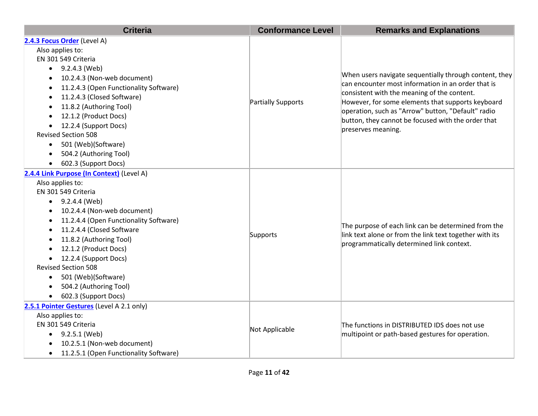| <b>Criteria</b>                                     | <b>Conformance Level</b> | <b>Remarks and Explanations</b>                                                                                                                                                                                                                                        |
|-----------------------------------------------------|--------------------------|------------------------------------------------------------------------------------------------------------------------------------------------------------------------------------------------------------------------------------------------------------------------|
| 2.4.3 Focus Order (Level A)                         |                          |                                                                                                                                                                                                                                                                        |
| Also applies to:                                    |                          |                                                                                                                                                                                                                                                                        |
| EN 301 549 Criteria                                 |                          | When users navigate sequentially through content, they<br>can encounter most information in an order that is<br>consistent with the meaning of the content.<br>However, for some elements that supports keyboard<br>operation, such as "Arrow" button, "Default" radio |
| 9.2.4.3 (Web)                                       |                          |                                                                                                                                                                                                                                                                        |
| 10.2.4.3 (Non-web document)                         |                          |                                                                                                                                                                                                                                                                        |
| 11.2.4.3 (Open Functionality Software)<br>$\bullet$ |                          |                                                                                                                                                                                                                                                                        |
| 11.2.4.3 (Closed Software)<br>$\bullet$             | Partially Supports       |                                                                                                                                                                                                                                                                        |
| 11.8.2 (Authoring Tool)                             |                          |                                                                                                                                                                                                                                                                        |
| 12.1.2 (Product Docs)                               |                          | button, they cannot be focused with the order that                                                                                                                                                                                                                     |
| 12.2.4 (Support Docs)                               |                          | preserves meaning.                                                                                                                                                                                                                                                     |
| <b>Revised Section 508</b>                          |                          |                                                                                                                                                                                                                                                                        |
| 501 (Web)(Software)                                 |                          |                                                                                                                                                                                                                                                                        |
| 504.2 (Authoring Tool)                              |                          |                                                                                                                                                                                                                                                                        |
| 602.3 (Support Docs)                                |                          |                                                                                                                                                                                                                                                                        |
| 2.4.4 Link Purpose (In Context) (Level A)           |                          |                                                                                                                                                                                                                                                                        |
| Also applies to:                                    |                          |                                                                                                                                                                                                                                                                        |
| EN 301 549 Criteria                                 |                          | The purpose of each link can be determined from the<br>link text alone or from the link text together with its<br>programmatically determined link context.                                                                                                            |
| $\bullet$ 9.2.4.4 (Web)                             |                          |                                                                                                                                                                                                                                                                        |
| 10.2.4.4 (Non-web document)                         |                          |                                                                                                                                                                                                                                                                        |
| 11.2.4.4 (Open Functionality Software)              |                          |                                                                                                                                                                                                                                                                        |
| 11.2.4.4 (Closed Software                           | Supports                 |                                                                                                                                                                                                                                                                        |
| 11.8.2 (Authoring Tool)<br>$\bullet$                |                          |                                                                                                                                                                                                                                                                        |
| 12.1.2 (Product Docs)                               |                          |                                                                                                                                                                                                                                                                        |
| 12.2.4 (Support Docs)                               |                          |                                                                                                                                                                                                                                                                        |
| <b>Revised Section 508</b>                          |                          |                                                                                                                                                                                                                                                                        |
| 501 (Web)(Software)<br>$\bullet$                    |                          |                                                                                                                                                                                                                                                                        |
| 504.2 (Authoring Tool)                              |                          |                                                                                                                                                                                                                                                                        |
| 602.3 (Support Docs)                                |                          |                                                                                                                                                                                                                                                                        |
| 2.5.1 Pointer Gestures (Level A 2.1 only)           |                          |                                                                                                                                                                                                                                                                        |
| Also applies to:                                    |                          | The functions in DISTRIBUTED IDS does not use<br>multipoint or path-based gestures for operation.                                                                                                                                                                      |
| EN 301 549 Criteria                                 | Not Applicable           |                                                                                                                                                                                                                                                                        |
| 9.2.5.1 (Web)<br>$\bullet$                          |                          |                                                                                                                                                                                                                                                                        |
| 10.2.5.1 (Non-web document)                         |                          |                                                                                                                                                                                                                                                                        |
| 11.2.5.1 (Open Functionality Software)              |                          |                                                                                                                                                                                                                                                                        |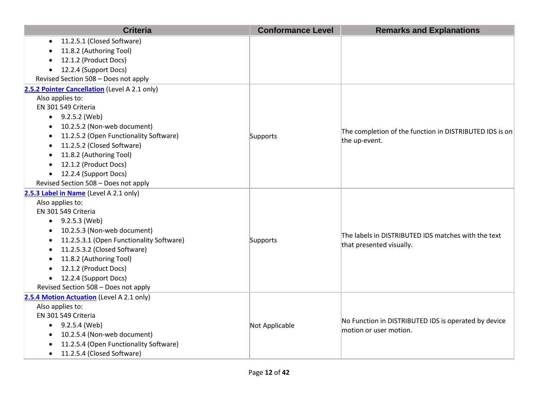| <b>Criteria</b>                               | <b>Conformance Level</b> | <b>Remarks and Explanations</b>                                                 |
|-----------------------------------------------|--------------------------|---------------------------------------------------------------------------------|
| 11.2.5.1 (Closed Software)                    |                          |                                                                                 |
| 11.8.2 (Authoring Tool)                       |                          |                                                                                 |
| 12.1.2 (Product Docs)                         |                          |                                                                                 |
| 12.2.4 (Support Docs)<br>$\bullet$            |                          |                                                                                 |
| Revised Section 508 - Does not apply          |                          |                                                                                 |
| 2.5.2 Pointer Cancellation (Level A 2.1 only) |                          |                                                                                 |
| Also applies to:                              |                          |                                                                                 |
| EN 301 549 Criteria                           |                          |                                                                                 |
| $\bullet$ 9.2.5.2 (Web)                       |                          |                                                                                 |
| 10.2.5.2 (Non-web document)                   |                          |                                                                                 |
| 11.2.5.2 (Open Functionality Software)        | Supports                 | The completion of the function in DISTRIBUTED IDS is on                         |
| 11.2.5.2 (Closed Software)                    |                          | the up-event.                                                                   |
| 11.8.2 (Authoring Tool)                       |                          |                                                                                 |
| 12.1.2 (Product Docs)                         |                          |                                                                                 |
| 12.2.4 (Support Docs)<br>$\bullet$            |                          |                                                                                 |
| Revised Section 508 - Does not apply          |                          |                                                                                 |
| 2.5.3 Label in Name (Level A 2.1 only)        |                          |                                                                                 |
| Also applies to:                              |                          |                                                                                 |
| EN 301 549 Criteria                           |                          |                                                                                 |
| 9.2.5.3 (Web)<br>$\bullet$                    |                          |                                                                                 |
| 10.2.5.3 (Non-web document)                   |                          | The labels in DISTRIBUTED IDS matches with the text<br>that presented visually. |
| 11.2.5.3.1 (Open Functionality Software)      | Supports                 |                                                                                 |
| 11.2.5.3.2 (Closed Software)                  |                          |                                                                                 |
| 11.8.2 (Authoring Tool)<br>$\bullet$          |                          |                                                                                 |
| 12.1.2 (Product Docs)                         |                          |                                                                                 |
| 12.2.4 (Support Docs)<br>$\bullet$            |                          |                                                                                 |
| Revised Section 508 - Does not apply          |                          |                                                                                 |
| 2.5.4 Motion Actuation (Level A 2.1 only)     |                          |                                                                                 |
| Also applies to:                              |                          |                                                                                 |
| EN 301 549 Criteria                           | Not Applicable           | No Function in DISTRIBUTED IDS is operated by device                            |
| $\bullet$ 9.2.5.4 (Web)                       |                          | motion or user motion.                                                          |
| 10.2.5.4 (Non-web document)                   |                          |                                                                                 |
| 11.2.5.4 (Open Functionality Software)        |                          |                                                                                 |
| 11.2.5.4 (Closed Software)<br>$\bullet$       |                          |                                                                                 |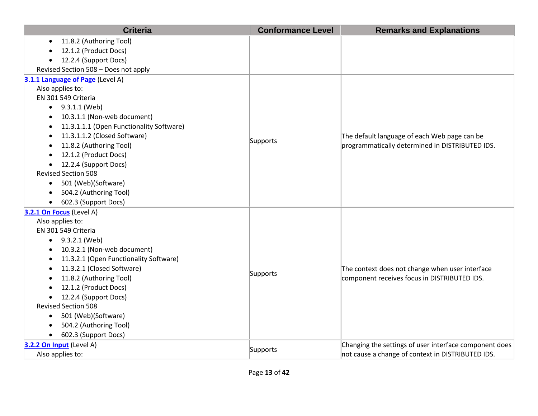| <b>Criteria</b>                                     | <b>Conformance Level</b> | <b>Remarks and Explanations</b>                        |
|-----------------------------------------------------|--------------------------|--------------------------------------------------------|
| 11.8.2 (Authoring Tool)                             |                          |                                                        |
| 12.1.2 (Product Docs)                               |                          |                                                        |
| 12.2.4 (Support Docs)                               |                          |                                                        |
| Revised Section 508 - Does not apply                |                          |                                                        |
| 3.1.1 Language of Page (Level A)                    |                          |                                                        |
| Also applies to:                                    |                          |                                                        |
| EN 301 549 Criteria                                 |                          |                                                        |
| $\bullet$ 9.3.1.1 (Web)                             |                          |                                                        |
| 10.3.1.1 (Non-web document)<br>$\bullet$            |                          |                                                        |
| 11.3.1.1.1 (Open Functionality Software)            |                          |                                                        |
| 11.3.1.1.2 (Closed Software)                        |                          | The default language of each Web page can be           |
| 11.8.2 (Authoring Tool)                             | Supports                 | programmatically determined in DISTRIBUTED IDS.        |
| 12.1.2 (Product Docs)                               |                          |                                                        |
| 12.2.4 (Support Docs)<br>$\bullet$                  |                          |                                                        |
| <b>Revised Section 508</b>                          |                          |                                                        |
| 501 (Web)(Software)<br>$\bullet$                    |                          |                                                        |
| 504.2 (Authoring Tool)                              |                          |                                                        |
| 602.3 (Support Docs)                                |                          |                                                        |
| 3.2.1 On Focus (Level A)                            |                          |                                                        |
| Also applies to:                                    |                          |                                                        |
| EN 301 549 Criteria                                 |                          |                                                        |
| 9.3.2.1 (Web)<br>$\bullet$                          |                          |                                                        |
| 10.3.2.1 (Non-web document)                         |                          |                                                        |
| 11.3.2.1 (Open Functionality Software)<br>$\bullet$ |                          |                                                        |
| 11.3.2.1 (Closed Software)<br>$\bullet$             | Supports                 | The context does not change when user interface        |
| 11.8.2 (Authoring Tool)                             |                          | component receives focus in DISTRIBUTED IDS.           |
| 12.1.2 (Product Docs)                               |                          |                                                        |
| 12.2.4 (Support Docs)                               |                          |                                                        |
| <b>Revised Section 508</b>                          |                          |                                                        |
| 501 (Web)(Software)<br>$\bullet$                    |                          |                                                        |
| 504.2 (Authoring Tool)                              |                          |                                                        |
| 602.3 (Support Docs)<br>$\bullet$                   |                          |                                                        |
| 3.2.2 On Input (Level A)                            | Supports                 | Changing the settings of user interface component does |
| Also applies to:                                    |                          | not cause a change of context in DISTRIBUTED IDS.      |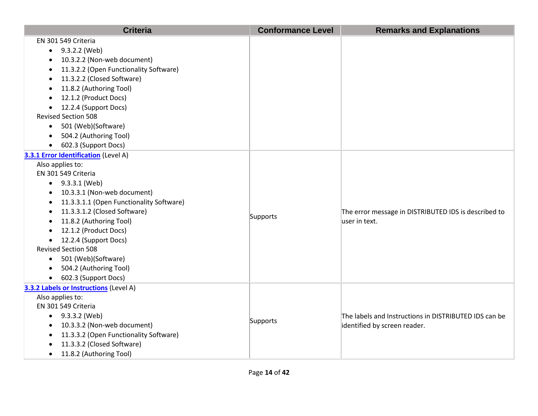| <b>Criteria</b>                                     | <b>Conformance Level</b> | <b>Remarks and Explanations</b>                                                       |
|-----------------------------------------------------|--------------------------|---------------------------------------------------------------------------------------|
| EN 301 549 Criteria                                 |                          |                                                                                       |
| 9.3.2.2 (Web)<br>$\bullet$                          |                          |                                                                                       |
| 10.3.2.2 (Non-web document)                         |                          |                                                                                       |
| 11.3.2.2 (Open Functionality Software)              |                          |                                                                                       |
| 11.3.2.2 (Closed Software)                          |                          |                                                                                       |
| 11.8.2 (Authoring Tool)<br>$\bullet$                |                          |                                                                                       |
| 12.1.2 (Product Docs)                               |                          |                                                                                       |
| 12.2.4 (Support Docs)<br>$\bullet$                  |                          |                                                                                       |
| <b>Revised Section 508</b>                          |                          |                                                                                       |
| 501 (Web)(Software)<br>$\bullet$                    |                          |                                                                                       |
| 504.2 (Authoring Tool)                              |                          |                                                                                       |
| 602.3 (Support Docs)<br>$\bullet$                   |                          |                                                                                       |
| 3.3.1 Error Identification (Level A)                |                          |                                                                                       |
| Also applies to:                                    |                          |                                                                                       |
| EN 301 549 Criteria                                 |                          |                                                                                       |
| $\bullet$ 9.3.3.1 (Web)                             |                          |                                                                                       |
| 10.3.3.1 (Non-web document)<br>$\bullet$            |                          |                                                                                       |
| 11.3.3.1.1 (Open Functionality Software)            |                          |                                                                                       |
| 11.3.3.1.2 (Closed Software)                        | Supports                 | The error message in DISTRIBUTED IDS is described to                                  |
| 11.8.2 (Authoring Tool)                             |                          | luser in text.                                                                        |
| 12.1.2 (Product Docs)                               |                          |                                                                                       |
| 12.2.4 (Support Docs)<br>$\bullet$                  |                          |                                                                                       |
| <b>Revised Section 508</b>                          |                          |                                                                                       |
| • 501 (Web)(Software)                               |                          |                                                                                       |
| 504.2 (Authoring Tool)<br>$\bullet$                 |                          |                                                                                       |
| • 602.3 (Support Docs)                              |                          |                                                                                       |
| 3.3.2 Labels or Instructions (Level A)              |                          |                                                                                       |
| Also applies to:                                    |                          |                                                                                       |
| EN 301 549 Criteria                                 |                          |                                                                                       |
| $\bullet$ 9.3.3.2 (Web)                             | Supports                 | The labels and Instructions in DISTRIBUTED IDS can be<br>identified by screen reader. |
| 10.3.3.2 (Non-web document)                         |                          |                                                                                       |
| 11.3.3.2 (Open Functionality Software)<br>$\bullet$ |                          |                                                                                       |
| 11.3.3.2 (Closed Software)                          |                          |                                                                                       |
| 11.8.2 (Authoring Tool)                             |                          |                                                                                       |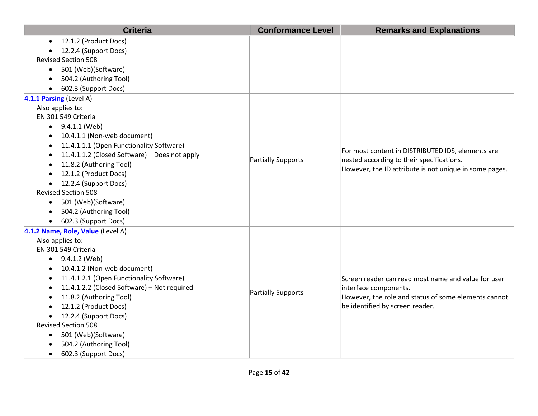|           | <b>Criteria</b>                               | <b>Conformance Level</b> | <b>Remarks and Explanations</b>                                                                     |
|-----------|-----------------------------------------------|--------------------------|-----------------------------------------------------------------------------------------------------|
| $\bullet$ | 12.1.2 (Product Docs)                         |                          |                                                                                                     |
|           | 12.2.4 (Support Docs)                         |                          |                                                                                                     |
|           | <b>Revised Section 508</b>                    |                          |                                                                                                     |
| $\bullet$ | 501 (Web)(Software)                           |                          |                                                                                                     |
|           | 504.2 (Authoring Tool)                        |                          |                                                                                                     |
| $\bullet$ | 602.3 (Support Docs)                          |                          |                                                                                                     |
|           | 4.1.1 Parsing (Level A)                       |                          |                                                                                                     |
|           | Also applies to:                              |                          |                                                                                                     |
|           | EN 301 549 Criteria                           |                          |                                                                                                     |
| $\bullet$ | 9.4.1.1 (Web)                                 |                          |                                                                                                     |
| ٠         | 10.4.1.1 (Non-web document)                   |                          |                                                                                                     |
| $\bullet$ | 11.4.1.1.1 (Open Functionality Software)      |                          | For most content in DISTRIBUTED IDS, elements are                                                   |
| $\bullet$ | 11.4.1.1.2 (Closed Software) - Does not apply | Partially Supports       | nested according to their specifications.<br>However, the ID attribute is not unique in some pages. |
| $\bullet$ | 11.8.2 (Authoring Tool)                       |                          |                                                                                                     |
| $\bullet$ | 12.1.2 (Product Docs)                         |                          |                                                                                                     |
| $\bullet$ | 12.2.4 (Support Docs)                         |                          |                                                                                                     |
|           | <b>Revised Section 508</b>                    |                          |                                                                                                     |
| $\bullet$ | 501 (Web)(Software)                           |                          |                                                                                                     |
| $\bullet$ | 504.2 (Authoring Tool)                        |                          |                                                                                                     |
| $\bullet$ | 602.3 (Support Docs)                          |                          |                                                                                                     |
|           | 4.1.2 Name, Role, Value (Level A)             |                          |                                                                                                     |
|           | Also applies to:                              |                          |                                                                                                     |
|           | EN 301 549 Criteria                           |                          |                                                                                                     |
| $\bullet$ | 9.4.1.2 (Web)                                 |                          |                                                                                                     |
| $\bullet$ | 10.4.1.2 (Non-web document)                   |                          |                                                                                                     |
|           | 11.4.1.2.1 (Open Functionality Software)      |                          | Screen reader can read most name and value for user                                                 |
| $\bullet$ | 11.4.1.2.2 (Closed Software) - Not required   | Partially Supports       | interface components.                                                                               |
| $\bullet$ | 11.8.2 (Authoring Tool)                       |                          | However, the role and status of some elements cannot                                                |
|           | 12.1.2 (Product Docs)                         |                          | be identified by screen reader.                                                                     |
| $\bullet$ | 12.2.4 (Support Docs)                         |                          |                                                                                                     |
|           | <b>Revised Section 508</b>                    |                          |                                                                                                     |
| $\bullet$ | 501 (Web)(Software)                           |                          |                                                                                                     |
|           | 504.2 (Authoring Tool)                        |                          |                                                                                                     |
| $\bullet$ | 602.3 (Support Docs)                          |                          |                                                                                                     |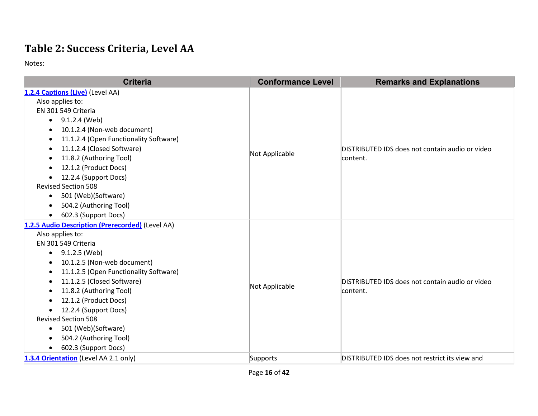## **Table 2: Success Criteria, Level AA**

| <b>Criteria</b>                                                                                                                                                                                                                                                                                                                                                                                                                                                  | <b>Conformance Level</b> | <b>Remarks and Explanations</b>                             |
|------------------------------------------------------------------------------------------------------------------------------------------------------------------------------------------------------------------------------------------------------------------------------------------------------------------------------------------------------------------------------------------------------------------------------------------------------------------|--------------------------|-------------------------------------------------------------|
| 1.2.4 Captions (Live) (Level AA)<br>Also applies to:<br>EN 301 549 Criteria<br>$\bullet$ 9.1.2.4 (Web)<br>10.1.2.4 (Non-web document)<br>11.1.2.4 (Open Functionality Software)<br>$\bullet$<br>11.1.2.4 (Closed Software)<br>11.8.2 (Authoring Tool)<br>12.1.2 (Product Docs)<br>12.2.4 (Support Docs)<br>$\bullet$<br><b>Revised Section 508</b><br>501 (Web)(Software)<br>$\bullet$<br>504.2 (Authoring Tool)<br>602.3 (Support Docs)<br>$\bullet$            | Not Applicable           | DISTRIBUTED IDS does not contain audio or video<br>content. |
| 1.2.5 Audio Description (Prerecorded) (Level AA)<br>Also applies to:<br>EN 301 549 Criteria<br>9.1.2.5 (Web)<br>٠<br>10.1.2.5 (Non-web document)<br>$\bullet$<br>11.1.2.5 (Open Functionality Software)<br>11.1.2.5 (Closed Software)<br>$\bullet$<br>11.8.2 (Authoring Tool)<br>12.1.2 (Product Docs)<br>$\bullet$<br>12.2.4 (Support Docs)<br><b>Revised Section 508</b><br>501 (Web)(Software)<br>$\bullet$<br>504.2 (Authoring Tool)<br>602.3 (Support Docs) | Not Applicable           | DISTRIBUTED IDS does not contain audio or video<br>content. |
| 1.3.4 Orientation (Level AA 2.1 only)                                                                                                                                                                                                                                                                                                                                                                                                                            | Supports                 | DISTRIBUTED IDS does not restrict its view and              |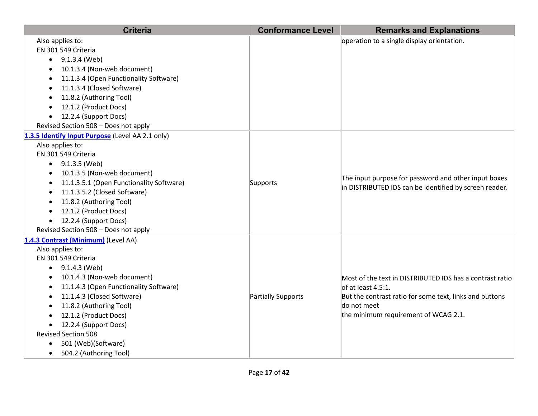| <b>Criteria</b>                                       | <b>Conformance Level</b> | <b>Remarks and Explanations</b>                                                                                |
|-------------------------------------------------------|--------------------------|----------------------------------------------------------------------------------------------------------------|
| Also applies to:                                      |                          | operation to a single display orientation.                                                                     |
| EN 301 549 Criteria                                   |                          |                                                                                                                |
| 9.1.3.4 (Web)                                         |                          |                                                                                                                |
| 10.1.3.4 (Non-web document)                           |                          |                                                                                                                |
| 11.1.3.4 (Open Functionality Software)                |                          |                                                                                                                |
| 11.1.3.4 (Closed Software)                            |                          |                                                                                                                |
| 11.8.2 (Authoring Tool)                               |                          |                                                                                                                |
| 12.1.2 (Product Docs)                                 |                          |                                                                                                                |
| 12.2.4 (Support Docs)                                 |                          |                                                                                                                |
| Revised Section 508 - Does not apply                  |                          |                                                                                                                |
| 1.3.5 Identify Input Purpose (Level AA 2.1 only)      |                          |                                                                                                                |
| Also applies to:                                      |                          |                                                                                                                |
| EN 301 549 Criteria                                   |                          |                                                                                                                |
| $\bullet$ 9.1.3.5 (Web)                               |                          | The input purpose for password and other input boxes<br>in DISTRIBUTED IDS can be identified by screen reader. |
| 10.1.3.5 (Non-web document)                           |                          |                                                                                                                |
| 11.1.3.5.1 (Open Functionality Software)<br>$\bullet$ | Supports                 |                                                                                                                |
| 11.1.3.5.2 (Closed Software)                          |                          |                                                                                                                |
| 11.8.2 (Authoring Tool)                               |                          |                                                                                                                |
| 12.1.2 (Product Docs)                                 |                          |                                                                                                                |
| 12.2.4 (Support Docs)                                 |                          |                                                                                                                |
| Revised Section 508 - Does not apply                  |                          |                                                                                                                |
| 1.4.3 Contrast (Minimum) (Level AA)                   |                          |                                                                                                                |
| Also applies to:                                      |                          |                                                                                                                |
| EN 301 549 Criteria                                   |                          |                                                                                                                |
| $\bullet$ 9.1.4.3 (Web)                               |                          |                                                                                                                |
| 10.1.4.3 (Non-web document)                           |                          | Most of the text in DISTRIBUTED IDS has a contrast ratio                                                       |
| 11.1.4.3 (Open Functionality Software)                |                          | of at least 4.5:1.                                                                                             |
| 11.1.4.3 (Closed Software)                            | Partially Supports       | But the contrast ratio for some text, links and buttons                                                        |
| 11.8.2 (Authoring Tool)                               |                          | do not meet                                                                                                    |
| 12.1.2 (Product Docs)                                 |                          | the minimum requirement of WCAG 2.1.                                                                           |
| 12.2.4 (Support Docs)                                 |                          |                                                                                                                |
| <b>Revised Section 508</b>                            |                          |                                                                                                                |
| 501 (Web)(Software)<br>$\bullet$                      |                          |                                                                                                                |
| 504.2 (Authoring Tool)<br>$\bullet$                   |                          |                                                                                                                |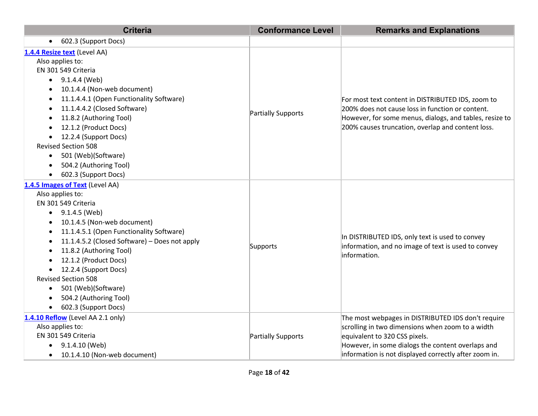| <b>Criteria</b>                                                                                                                                                                                                                                                                                                                                                                                                                                         | <b>Conformance Level</b> | <b>Remarks and Explanations</b>                                                                                                                                                                                                                       |
|---------------------------------------------------------------------------------------------------------------------------------------------------------------------------------------------------------------------------------------------------------------------------------------------------------------------------------------------------------------------------------------------------------------------------------------------------------|--------------------------|-------------------------------------------------------------------------------------------------------------------------------------------------------------------------------------------------------------------------------------------------------|
| 602.3 (Support Docs)<br>$\bullet$                                                                                                                                                                                                                                                                                                                                                                                                                       |                          |                                                                                                                                                                                                                                                       |
| 1.4.4 Resize text (Level AA)<br>Also applies to:<br>EN 301 549 Criteria<br>9.1.4.4 (Web)<br>$\bullet$<br>10.1.4.4 (Non-web document)<br>11.1.4.4.1 (Open Functionality Software)<br>11.1.4.4.2 (Closed Software)<br>11.8.2 (Authoring Tool)<br>12.1.2 (Product Docs)<br>12.2.4 (Support Docs)<br><b>Revised Section 508</b><br>501 (Web)(Software)<br>$\bullet$<br>504.2 (Authoring Tool)<br>$\bullet$<br>602.3 (Support Docs)                          | Partially Supports       | For most text content in DISTRIBUTED IDS, zoom to<br>200% does not cause loss in function or content.<br>However, for some menus, dialogs, and tables, resize to<br>200% causes truncation, overlap and content loss.                                 |
| 1.4.5 Images of Text (Level AA)<br>Also applies to:<br>EN 301 549 Criteria<br>9.1.4.5 (Web)<br>$\bullet$<br>10.1.4.5 (Non-web document)<br>11.1.4.5.1 (Open Functionality Software)<br>$\bullet$<br>11.1.4.5.2 (Closed Software) - Does not apply<br>٠<br>11.8.2 (Authoring Tool)<br>12.1.2 (Product Docs)<br>12.2.4 (Support Docs)<br>$\bullet$<br><b>Revised Section 508</b><br>501 (Web)(Software)<br>504.2 (Authoring Tool)<br>602.3 (Support Docs) | Supports                 | In DISTRIBUTED IDS, only text is used to convey<br>information, and no image of text is used to convey<br>information.                                                                                                                                |
| 1.4.10 Reflow (Level AA 2.1 only)<br>Also applies to:<br>EN 301 549 Criteria<br>9.1.4.10 (Web)<br>$\bullet$<br>10.1.4.10 (Non-web document)<br>$\bullet$                                                                                                                                                                                                                                                                                                | Partially Supports       | The most webpages in DISTRIBUTED IDS don't require<br>scrolling in two dimensions when zoom to a width<br>equivalent to 320 CSS pixels.<br>However, in some dialogs the content overlaps and<br>information is not displayed correctly after zoom in. |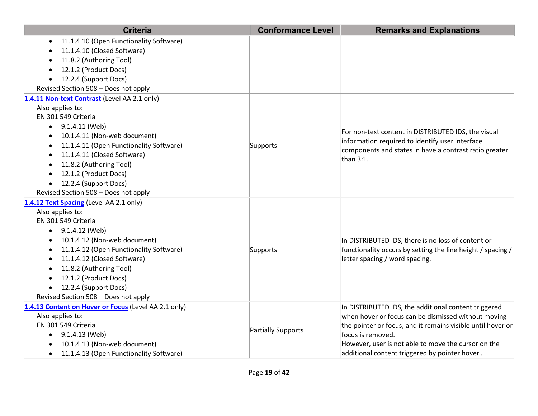| <b>Criteria</b>                                      | <b>Conformance Level</b> | <b>Remarks and Explanations</b>                                                  |
|------------------------------------------------------|--------------------------|----------------------------------------------------------------------------------|
| 11.1.4.10 (Open Functionality Software)<br>٠         |                          |                                                                                  |
| 11.1.4.10 (Closed Software)                          |                          |                                                                                  |
| 11.8.2 (Authoring Tool)                              |                          |                                                                                  |
| 12.1.2 (Product Docs)                                |                          |                                                                                  |
| 12.2.4 (Support Docs)<br>$\bullet$                   |                          |                                                                                  |
| Revised Section 508 - Does not apply                 |                          |                                                                                  |
| 1.4.11 Non-text Contrast (Level AA 2.1 only)         |                          |                                                                                  |
| Also applies to:                                     |                          |                                                                                  |
| EN 301 549 Criteria                                  |                          |                                                                                  |
| 9.1.4.11 (Web)                                       |                          | For non-text content in DISTRIBUTED IDS, the visual                              |
| 10.1.4.11 (Non-web document)                         |                          | information required to identify user interface                                  |
| 11.1.4.11 (Open Functionality Software)              | Supports                 | components and states in have a contrast ratio greater                           |
| 11.1.4.11 (Closed Software)                          |                          | than $3:1$ .                                                                     |
| 11.8.2 (Authoring Tool)<br>٠                         |                          |                                                                                  |
| 12.1.2 (Product Docs)<br>$\bullet$                   |                          |                                                                                  |
| 12.2.4 (Support Docs)                                |                          |                                                                                  |
| Revised Section 508 - Does not apply                 |                          |                                                                                  |
| 1.4.12 Text Spacing (Level AA 2.1 only)              |                          |                                                                                  |
| Also applies to:                                     |                          |                                                                                  |
| EN 301 549 Criteria                                  |                          |                                                                                  |
| $\bullet$ 9.1.4.12 (Web)                             |                          |                                                                                  |
| 10.1.4.12 (Non-web document)                         |                          | In DISTRIBUTED IDS, there is no loss of content or                               |
| 11.1.4.12 (Open Functionality Software)<br>$\bullet$ | Supports                 | functionality occurs by setting the line height / spacing /                      |
| 11.1.4.12 (Closed Software)                          |                          | letter spacing / word spacing.                                                   |
| 11.8.2 (Authoring Tool)                              |                          |                                                                                  |
| 12.1.2 (Product Docs)                                |                          |                                                                                  |
| 12.2.4 (Support Docs)<br>٠                           |                          |                                                                                  |
| Revised Section 508 - Does not apply                 |                          |                                                                                  |
| 1.4.13 Content on Hover or Focus (Level AA 2.1 only) |                          | In DISTRIBUTED IDS, the additional content triggered                             |
| Also applies to:                                     | Partially Supports       | when hover or focus can be dismissed without moving                              |
| EN 301 549 Criteria<br>9.1.4.13 (Web)                |                          | the pointer or focus, and it remains visible until hover or<br>focus is removed. |
| $\bullet$<br>10.1.4.13 (Non-web document)            |                          | However, user is not able to move the cursor on the                              |
| 11.1.4.13 (Open Functionality Software)              |                          | additional content triggered by pointer hover.                                   |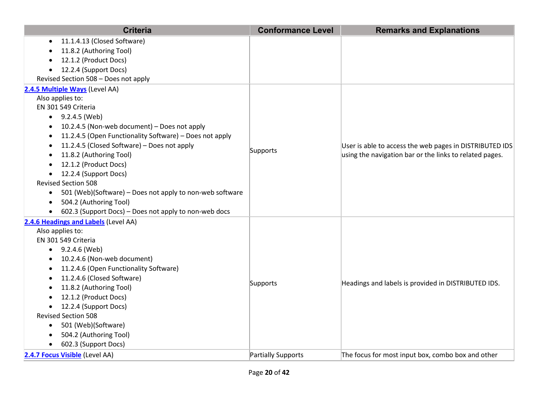| <b>Criteria</b>                                                       | <b>Conformance Level</b> | <b>Remarks and Explanations</b>                                                                                    |
|-----------------------------------------------------------------------|--------------------------|--------------------------------------------------------------------------------------------------------------------|
| 11.1.4.13 (Closed Software)<br>$\bullet$                              |                          |                                                                                                                    |
| 11.8.2 (Authoring Tool)                                               |                          |                                                                                                                    |
| 12.1.2 (Product Docs)                                                 |                          |                                                                                                                    |
| 12.2.4 (Support Docs)<br>$\bullet$                                    |                          |                                                                                                                    |
| Revised Section 508 - Does not apply                                  |                          |                                                                                                                    |
| 2.4.5 Multiple Ways (Level AA)                                        |                          |                                                                                                                    |
| Also applies to:                                                      |                          |                                                                                                                    |
| EN 301 549 Criteria                                                   |                          |                                                                                                                    |
| $-9.2.4.5$ (Web)                                                      |                          |                                                                                                                    |
| 10.2.4.5 (Non-web document) - Does not apply                          |                          |                                                                                                                    |
| 11.2.4.5 (Open Functionality Software) - Does not apply               |                          |                                                                                                                    |
| 11.2.4.5 (Closed Software) - Does not apply                           |                          | User is able to access the web pages in DISTRIBUTED IDS<br>using the navigation bar or the links to related pages. |
| 11.8.2 (Authoring Tool)                                               | Supports                 |                                                                                                                    |
| 12.1.2 (Product Docs)                                                 |                          |                                                                                                                    |
| 12.2.4 (Support Docs)<br>$\bullet$                                    |                          |                                                                                                                    |
| <b>Revised Section 508</b>                                            |                          |                                                                                                                    |
| 501 (Web)(Software) – Does not apply to non-web software<br>$\bullet$ |                          |                                                                                                                    |
| 504.2 (Authoring Tool)<br>$\bullet$                                   |                          |                                                                                                                    |
| 602.3 (Support Docs) - Does not apply to non-web docs                 |                          |                                                                                                                    |
| 2.4.6 Headings and Labels (Level AA)                                  |                          |                                                                                                                    |
| Also applies to:                                                      |                          |                                                                                                                    |
| EN 301 549 Criteria                                                   |                          |                                                                                                                    |
| $\bullet$ 9.2.4.6 (Web)                                               |                          |                                                                                                                    |
| 10.2.4.6 (Non-web document)                                           |                          |                                                                                                                    |
| 11.2.4.6 (Open Functionality Software)<br>$\bullet$                   |                          |                                                                                                                    |
| 11.2.4.6 (Closed Software)                                            | Supports                 | Headings and labels is provided in DISTRIBUTED IDS.                                                                |
| 11.8.2 (Authoring Tool)                                               |                          |                                                                                                                    |
| 12.1.2 (Product Docs)                                                 |                          |                                                                                                                    |
| 12.2.4 (Support Docs)                                                 |                          |                                                                                                                    |
| <b>Revised Section 508</b>                                            |                          |                                                                                                                    |
| 501 (Web)(Software)                                                   |                          |                                                                                                                    |
| 504.2 (Authoring Tool)                                                |                          |                                                                                                                    |
| 602.3 (Support Docs)                                                  |                          |                                                                                                                    |
| 2.4.7 Focus Visible (Level AA)                                        | Partially Supports       | The focus for most input box, combo box and other                                                                  |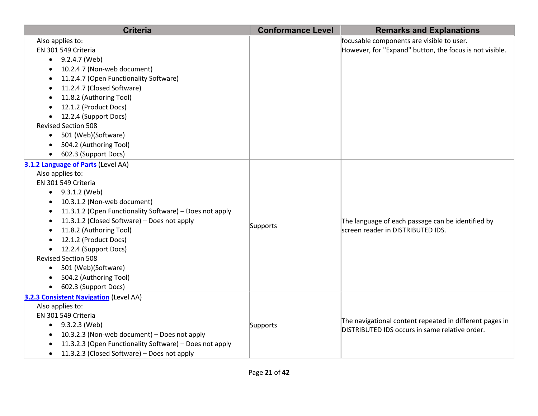| <b>Criteria</b>                                           | <b>Conformance Level</b> | <b>Remarks and Explanations</b>                         |
|-----------------------------------------------------------|--------------------------|---------------------------------------------------------|
| Also applies to:                                          |                          | focusable components are visible to user.               |
| EN 301 549 Criteria                                       |                          | However, for "Expand" button, the focus is not visible. |
| $\bullet$ 9.2.4.7 (Web)                                   |                          |                                                         |
| 10.2.4.7 (Non-web document)                               |                          |                                                         |
| 11.2.4.7 (Open Functionality Software)                    |                          |                                                         |
| 11.2.4.7 (Closed Software)                                |                          |                                                         |
| 11.8.2 (Authoring Tool)<br>٠                              |                          |                                                         |
| 12.1.2 (Product Docs)                                     |                          |                                                         |
| 12.2.4 (Support Docs)<br>$\bullet$                        |                          |                                                         |
| <b>Revised Section 508</b>                                |                          |                                                         |
| 501 (Web)(Software)<br>$\bullet$                          |                          |                                                         |
| 504.2 (Authoring Tool)                                    |                          |                                                         |
| 602.3 (Support Docs)                                      |                          |                                                         |
| 3.1.2 Language of Parts (Level AA)                        |                          |                                                         |
| Also applies to:                                          |                          |                                                         |
| EN 301 549 Criteria                                       |                          |                                                         |
| $\bullet$ 9.3.1.2 (Web)                                   |                          |                                                         |
| 10.3.1.2 (Non-web document)<br>$\bullet$                  |                          |                                                         |
| 11.3.1.2 (Open Functionality Software) - Does not apply   |                          |                                                         |
| 11.3.1.2 (Closed Software) - Does not apply               | Supports                 | The language of each passage can be identified by       |
| 11.8.2 (Authoring Tool)                                   |                          | screen reader in DISTRIBUTED IDS.                       |
| 12.1.2 (Product Docs)                                     |                          |                                                         |
| 12.2.4 (Support Docs)                                     |                          |                                                         |
| <b>Revised Section 508</b>                                |                          |                                                         |
| 501 (Web)(Software)<br>$\bullet$                          |                          |                                                         |
| 504.2 (Authoring Tool)                                    |                          |                                                         |
| • 602.3 (Support Docs)                                    |                          |                                                         |
| 3.2.3 Consistent Navigation (Level AA)                    |                          |                                                         |
| Also applies to:                                          |                          |                                                         |
| EN 301 549 Criteria                                       |                          | The navigational content repeated in different pages in |
| • $9.3.2.3$ (Web)                                         | Supports                 | DISTRIBUTED IDS occurs in same relative order.          |
| 10.3.2.3 (Non-web document) - Does not apply<br>$\bullet$ |                          |                                                         |
| 11.3.2.3 (Open Functionality Software) - Does not apply   |                          |                                                         |
| 11.3.2.3 (Closed Software) - Does not apply<br>$\bullet$  |                          |                                                         |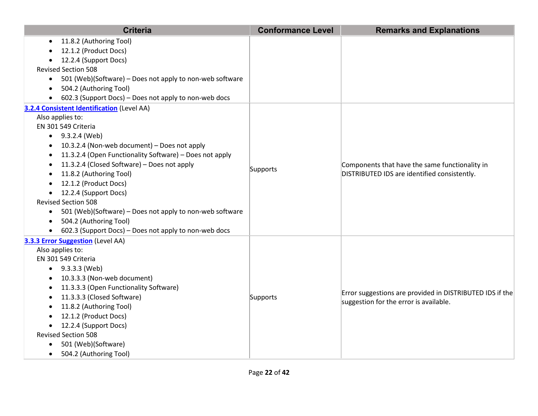| <b>Criteria</b>                                                       | <b>Conformance Level</b> | <b>Remarks and Explanations</b>                                                                |
|-----------------------------------------------------------------------|--------------------------|------------------------------------------------------------------------------------------------|
| 11.8.2 (Authoring Tool)<br>$\bullet$                                  |                          |                                                                                                |
| 12.1.2 (Product Docs)                                                 |                          |                                                                                                |
| 12.2.4 (Support Docs)                                                 |                          |                                                                                                |
| <b>Revised Section 508</b>                                            |                          |                                                                                                |
| 501 (Web)(Software) - Does not apply to non-web software<br>$\bullet$ |                          |                                                                                                |
| 504.2 (Authoring Tool)<br>$\bullet$                                   |                          |                                                                                                |
| 602.3 (Support Docs) - Does not apply to non-web docs                 |                          |                                                                                                |
| 3.2.4 Consistent Identification (Level AA)<br>Also applies to:        |                          |                                                                                                |
| EN 301 549 Criteria                                                   |                          |                                                                                                |
| $\bullet$ 9.3.2.4 (Web)                                               |                          |                                                                                                |
| 10.3.2.4 (Non-web document) - Does not apply                          |                          |                                                                                                |
| 11.3.2.4 (Open Functionality Software) - Does not apply               |                          |                                                                                                |
| 11.3.2.4 (Closed Software) - Does not apply<br>$\bullet$              |                          | Components that have the same functionality in<br>DISTRIBUTED IDS are identified consistently. |
| 11.8.2 (Authoring Tool)                                               | Supports                 |                                                                                                |
| 12.1.2 (Product Docs)                                                 |                          |                                                                                                |
| 12.2.4 (Support Docs)                                                 |                          |                                                                                                |
| <b>Revised Section 508</b>                                            |                          |                                                                                                |
| 501 (Web)(Software) - Does not apply to non-web software<br>$\bullet$ |                          |                                                                                                |
| 504.2 (Authoring Tool)<br>$\bullet$                                   |                          |                                                                                                |
| 602.3 (Support Docs) - Does not apply to non-web docs<br>$\bullet$    |                          |                                                                                                |
| 3.3.3 Error Suggestion (Level AA)                                     |                          |                                                                                                |
| Also applies to:                                                      |                          |                                                                                                |
| EN 301 549 Criteria                                                   |                          |                                                                                                |
| $\bullet$ 9.3.3.3 (Web)                                               |                          |                                                                                                |
| 10.3.3.3 (Non-web document)                                           |                          |                                                                                                |
| 11.3.3.3 (Open Functionality Software)                                |                          | Error suggestions are provided in DISTRIBUTED IDS if the                                       |
| 11.3.3.3 (Closed Software)                                            | Supports                 | suggestion for the error is available.                                                         |
| 11.8.2 (Authoring Tool)                                               |                          |                                                                                                |
| 12.1.2 (Product Docs)                                                 |                          |                                                                                                |
| 12.2.4 (Support Docs)<br>$\bullet$                                    |                          |                                                                                                |
| <b>Revised Section 508</b>                                            |                          |                                                                                                |
| 501 (Web)(Software)<br>$\bullet$                                      |                          |                                                                                                |
| 504.2 (Authoring Tool)<br>$\bullet$                                   |                          |                                                                                                |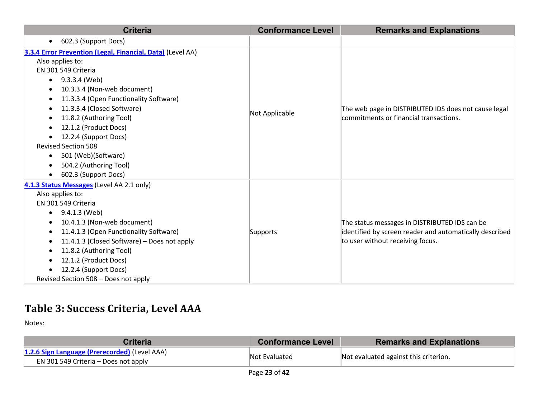| <b>Criteria</b>                                            | <b>Conformance Level</b> | <b>Remarks and Explanations</b>                                                                                                              |
|------------------------------------------------------------|--------------------------|----------------------------------------------------------------------------------------------------------------------------------------------|
| 602.3 (Support Docs)<br>$\bullet$                          |                          |                                                                                                                                              |
| 3.3.4 Error Prevention (Legal, Financial, Data) (Level AA) |                          |                                                                                                                                              |
| Also applies to:                                           |                          |                                                                                                                                              |
| EN 301 549 Criteria                                        |                          |                                                                                                                                              |
| 9.3.3.4 (Web)<br>$\bullet$                                 |                          |                                                                                                                                              |
| 10.3.3.4 (Non-web document)                                |                          |                                                                                                                                              |
| 11.3.3.4 (Open Functionality Software)<br>$\bullet$        |                          |                                                                                                                                              |
| 11.3.3.4 (Closed Software)<br>$\bullet$                    |                          | The web page in DISTRIBUTED IDS does not cause legal                                                                                         |
| 11.8.2 (Authoring Tool)<br>$\bullet$                       | Not Applicable           | commitments or financial transactions.                                                                                                       |
| 12.1.2 (Product Docs)                                      |                          |                                                                                                                                              |
| 12.2.4 (Support Docs)<br>$\bullet$                         |                          |                                                                                                                                              |
| <b>Revised Section 508</b>                                 |                          |                                                                                                                                              |
| 501 (Web)(Software)<br>$\bullet$                           |                          |                                                                                                                                              |
| 504.2 (Authoring Tool)                                     |                          |                                                                                                                                              |
| 602.3 (Support Docs)<br>$\bullet$                          |                          |                                                                                                                                              |
| 4.1.3 Status Messages (Level AA 2.1 only)                  |                          | The status messages in DISTRIBUTED IDS can be<br>identified by screen reader and automatically described<br>to user without receiving focus. |
| Also applies to:                                           |                          |                                                                                                                                              |
| EN 301 549 Criteria                                        |                          |                                                                                                                                              |
| 9.4.1.3 (Web)<br>$\bullet$                                 |                          |                                                                                                                                              |
| 10.4.1.3 (Non-web document)                                |                          |                                                                                                                                              |
| 11.4.1.3 (Open Functionality Software)                     | Supports                 |                                                                                                                                              |
| 11.4.1.3 (Closed Software) - Does not apply                |                          |                                                                                                                                              |
| 11.8.2 (Authoring Tool)<br>$\bullet$                       |                          |                                                                                                                                              |
| 12.1.2 (Product Docs)                                      |                          |                                                                                                                                              |
| 12.2.4 (Support Docs)                                      |                          |                                                                                                                                              |
| Revised Section 508 - Does not apply                       |                          |                                                                                                                                              |

## **Table 3: Success Criteria, Level AAA**

| <b>Criteria</b>                                                                       | <b>Conformance Level</b> | <b>Remarks and Explanations</b>       |
|---------------------------------------------------------------------------------------|--------------------------|---------------------------------------|
| 1.2.6 Sign Language (Prerecorded) (Level AAA)<br>EN 301 549 Criteria – Does not apply | Not Evaluated            | Not evaluated against this criterion. |
|                                                                                       | -- - --                  |                                       |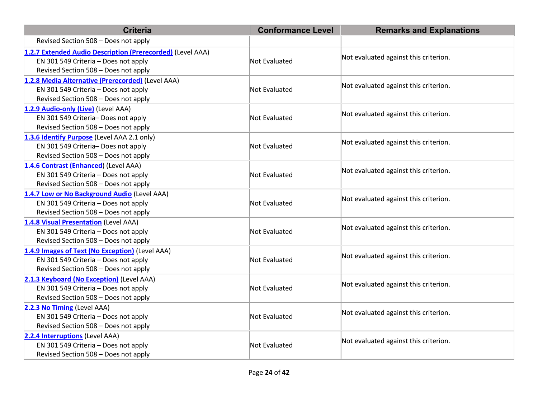| <b>Criteria</b>                                            | <b>Conformance Level</b> | <b>Remarks and Explanations</b>       |
|------------------------------------------------------------|--------------------------|---------------------------------------|
| Revised Section 508 - Does not apply                       |                          |                                       |
| 1.2.7 Extended Audio Description (Prerecorded) (Level AAA) |                          | Not evaluated against this criterion. |
| EN 301 549 Criteria - Does not apply                       | Not Evaluated            |                                       |
| Revised Section 508 - Does not apply                       |                          |                                       |
| 1.2.8 Media Alternative (Prerecorded) (Level AAA)          |                          |                                       |
| EN 301 549 Criteria - Does not apply                       | Not Evaluated            | Not evaluated against this criterion. |
| Revised Section 508 - Does not apply                       |                          |                                       |
| 1.2.9 Audio-only (Live) (Level AAA)                        |                          |                                       |
| EN 301 549 Criteria- Does not apply                        | <b>Not Evaluated</b>     | Not evaluated against this criterion. |
| Revised Section 508 - Does not apply                       |                          |                                       |
| 1.3.6 Identify Purpose (Level AAA 2.1 only)                |                          |                                       |
| EN 301 549 Criteria- Does not apply                        | Not Evaluated            | Not evaluated against this criterion. |
| Revised Section 508 - Does not apply                       |                          |                                       |
| 1.4.6 Contrast (Enhanced) (Level AAA)                      |                          | Not evaluated against this criterion. |
| EN 301 549 Criteria - Does not apply                       | Not Evaluated            |                                       |
| Revised Section 508 - Does not apply                       |                          |                                       |
| 1.4.7 Low or No Background Audio (Level AAA)               |                          | Not evaluated against this criterion. |
| EN 301 549 Criteria - Does not apply                       | Not Evaluated            |                                       |
| Revised Section 508 - Does not apply                       |                          |                                       |
| 1.4.8 Visual Presentation (Level AAA)                      |                          |                                       |
| EN 301 549 Criteria - Does not apply                       | Not Evaluated            | Not evaluated against this criterion. |
| Revised Section 508 - Does not apply                       |                          |                                       |
| 1.4.9 Images of Text (No Exception) (Level AAA)            |                          |                                       |
| EN 301 549 Criteria - Does not apply                       | Not Evaluated            | Not evaluated against this criterion. |
| Revised Section 508 - Does not apply                       |                          |                                       |
| 2.1.3 Keyboard (No Exception) (Level AAA)                  |                          | Not evaluated against this criterion. |
| EN 301 549 Criteria - Does not apply                       | Not Evaluated            |                                       |
| Revised Section 508 - Does not apply                       |                          |                                       |
| 2.2.3 No Timing (Level AAA)                                |                          |                                       |
| EN 301 549 Criteria - Does not apply                       | Not Evaluated            | Not evaluated against this criterion. |
| Revised Section 508 - Does not apply                       |                          |                                       |
| 2.2.4 Interruptions (Level AAA)                            |                          |                                       |
| EN 301 549 Criteria - Does not apply                       | <b>Not Evaluated</b>     | Not evaluated against this criterion. |
| Revised Section 508 - Does not apply                       |                          |                                       |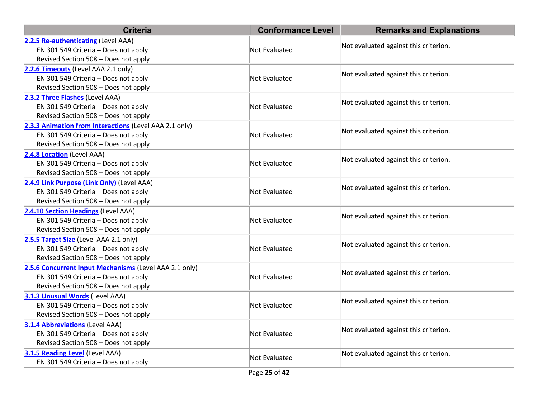| <b>Criteria</b>                                        | <b>Conformance Level</b> | <b>Remarks and Explanations</b>       |  |
|--------------------------------------------------------|--------------------------|---------------------------------------|--|
| 2.2.5 Re-authenticating (Level AAA)                    |                          |                                       |  |
| EN 301 549 Criteria - Does not apply                   | Not Evaluated            | Not evaluated against this criterion. |  |
| Revised Section 508 - Does not apply                   |                          |                                       |  |
| 2.2.6 Timeouts (Level AAA 2.1 only)                    |                          |                                       |  |
| EN 301 549 Criteria - Does not apply                   | Not Evaluated            | Not evaluated against this criterion. |  |
| Revised Section 508 - Does not apply                   |                          |                                       |  |
| 2.3.2 Three Flashes (Level AAA)                        |                          | Not evaluated against this criterion. |  |
| EN 301 549 Criteria - Does not apply                   | Not Evaluated            |                                       |  |
| Revised Section 508 - Does not apply                   |                          |                                       |  |
| 2.3.3 Animation from Interactions (Level AAA 2.1 only) |                          | Not evaluated against this criterion. |  |
| EN 301 549 Criteria - Does not apply                   | Not Evaluated            |                                       |  |
| Revised Section 508 - Does not apply                   |                          |                                       |  |
| 2.4.8 Location (Level AAA)                             |                          | Not evaluated against this criterion. |  |
| EN 301 549 Criteria - Does not apply                   | Not Evaluated            |                                       |  |
| Revised Section 508 - Does not apply                   |                          |                                       |  |
| 2.4.9 Link Purpose (Link Only) (Level AAA)             |                          | Not evaluated against this criterion. |  |
| EN 301 549 Criteria - Does not apply                   | Not Evaluated            |                                       |  |
| Revised Section 508 - Does not apply                   |                          |                                       |  |
| 2.4.10 Section Headings (Level AAA)                    |                          | Not evaluated against this criterion. |  |
| EN 301 549 Criteria - Does not apply                   | Not Evaluated            |                                       |  |
| Revised Section 508 - Does not apply                   |                          |                                       |  |
| 2.5.5 Target Size (Level AAA 2.1 only)                 |                          | Not evaluated against this criterion. |  |
| EN 301 549 Criteria - Does not apply                   | Not Evaluated            |                                       |  |
| Revised Section 508 - Does not apply                   |                          |                                       |  |
| 2.5.6 Concurrent Input Mechanisms (Level AAA 2.1 only) |                          | Not evaluated against this criterion. |  |
| EN 301 549 Criteria - Does not apply                   | Not Evaluated            |                                       |  |
| Revised Section 508 - Does not apply                   |                          |                                       |  |
| 3.1.3 Unusual Words (Level AAA)                        |                          | Not evaluated against this criterion. |  |
| EN 301 549 Criteria - Does not apply                   | Not Evaluated            |                                       |  |
| Revised Section 508 - Does not apply                   |                          |                                       |  |
| <b>3.1.4 Abbreviations (Level AAA)</b>                 |                          | Not evaluated against this criterion. |  |
| EN 301 549 Criteria - Does not apply                   | Not Evaluated            |                                       |  |
| Revised Section 508 - Does not apply                   |                          |                                       |  |
| 3.1.5 Reading Level (Level AAA)                        | Not Evaluated            | Not evaluated against this criterion. |  |
| EN 301 549 Criteria - Does not apply                   |                          |                                       |  |
|                                                        | Page 25 of 42            |                                       |  |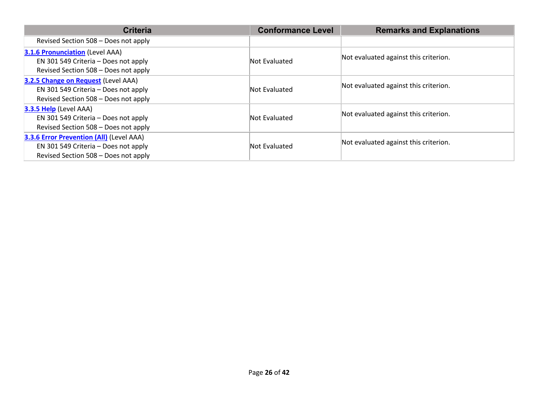| <b>Criteria</b>                                                                                                          | <b>Conformance Level</b> | <b>Remarks and Explanations</b>       |
|--------------------------------------------------------------------------------------------------------------------------|--------------------------|---------------------------------------|
| Revised Section 508 – Does not apply                                                                                     |                          |                                       |
| <b>3.1.6 Pronunciation (Level AAA)</b><br>EN 301 549 Criteria - Does not apply<br>Revised Section 508 - Does not apply   | Not Evaluated            | Not evaluated against this criterion. |
| 3.2.5 Change on Request (Level AAA)<br>EN 301 549 Criteria - Does not apply<br>Revised Section 508 - Does not apply      | Not Evaluated            | Not evaluated against this criterion. |
| <b>3.3.5 Help</b> (Level AAA)<br>EN 301 549 Criteria - Does not apply<br>Revised Section 508 - Does not apply            | Not Evaluated            | Not evaluated against this criterion. |
| 3.3.6 Error Prevention (All) (Level AAA)<br>EN 301 549 Criteria - Does not apply<br>Revised Section 508 - Does not apply | Not Evaluated            | Not evaluated against this criterion. |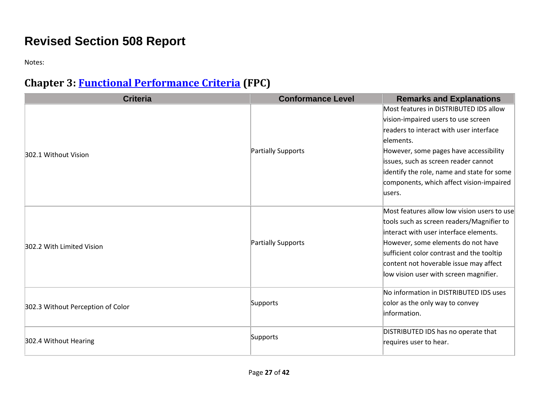# **Revised Section 508 Report**

Notes:

# **Chapter 3: [Functional Performance Criteria](https://www.access-board.gov/guidelines-and-standards/communications-and-it/about-the-ict-refresh/final-rule/text-of-the-standards-and-guidelines#302-functional-performance-criteria) (FPC)**

| <b>Criteria</b>                   | <b>Conformance Level</b> | <b>Remarks and Explanations</b>             |
|-----------------------------------|--------------------------|---------------------------------------------|
|                                   |                          | Most features in DISTRIBUTED IDS allow      |
|                                   |                          | vision-impaired users to use screen         |
|                                   |                          | readers to interact with user interface     |
|                                   |                          | elements.                                   |
| 302.1 Without Vision              | Partially Supports       | However, some pages have accessibility      |
|                                   |                          | issues, such as screen reader cannot        |
|                                   |                          | identify the role, name and state for some  |
|                                   |                          | components, which affect vision-impaired    |
|                                   |                          | lusers.                                     |
|                                   |                          | Most features allow low vision users to use |
|                                   | Partially Supports       | tools such as screen readers/Magnifier to   |
|                                   |                          | interact with user interface elements.      |
| 302.2 With Limited Vision         |                          | However, some elements do not have          |
|                                   |                          | sufficient color contrast and the tooltip   |
|                                   |                          | content not hoverable issue may affect      |
|                                   |                          | low vision user with screen magnifier.      |
|                                   |                          | No information in DISTRIBUTED IDS uses      |
| 302.3 Without Perception of Color | Supports                 | color as the only way to convey             |
|                                   |                          | information.                                |
|                                   |                          | DISTRIBUTED IDS has no operate that         |
| 302.4 Without Hearing             | Supports                 | requires user to hear.                      |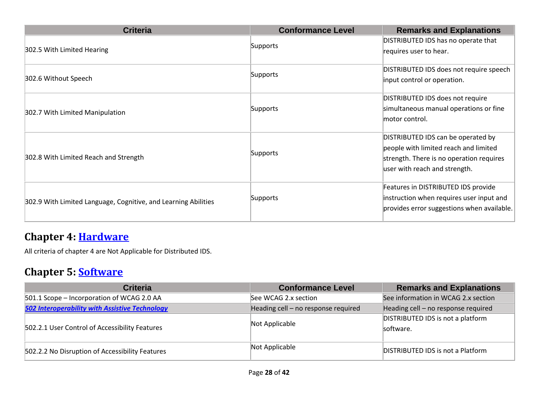| <b>Criteria</b>                                                | <b>Conformance Level</b> | <b>Remarks and Explanations</b>            |
|----------------------------------------------------------------|--------------------------|--------------------------------------------|
|                                                                | Supports                 | DISTRIBUTED IDS has no operate that        |
| 302.5 With Limited Hearing                                     |                          | requires user to hear.                     |
|                                                                |                          | DISTRIBUTED IDS does not require speech    |
| 302.6 Without Speech                                           | Supports                 | input control or operation.                |
|                                                                |                          | DISTRIBUTED IDS does not require           |
| 302.7 With Limited Manipulation                                | Supports                 | simultaneous manual operations or fine     |
|                                                                |                          | lmotor control.                            |
|                                                                |                          | DISTRIBUTED IDS can be operated by         |
|                                                                | Supports                 | people with limited reach and limited      |
| 302.8 With Limited Reach and Strength                          |                          | strength. There is no operation requires   |
|                                                                |                          | user with reach and strength.              |
|                                                                |                          | Features in DISTRIBUTED IDS provide        |
| 302.9 With Limited Language, Cognitive, and Learning Abilities | Supports                 | instruction when requires user input and   |
|                                                                |                          | provides error suggestions when available. |
|                                                                |                          |                                            |

#### **Chapter 4: [Hardware](https://www.access-board.gov/guidelines-and-standards/communications-and-it/about-the-ict-refresh/final-rule/text-of-the-standards-and-guidelines#401-general)**

All criteria of chapter 4 are Not Applicable for Distributed IDS.

# **Chapter 5: [Software](https://www.access-board.gov/guidelines-and-standards/communications-and-it/about-the-ict-refresh/final-rule/text-of-the-standards-and-guidelines#501-general)**

| <b>Criteria</b>                                       | <b>Conformance Level</b>            | <b>Remarks and Explanations</b>                |
|-------------------------------------------------------|-------------------------------------|------------------------------------------------|
| 501.1 Scope - Incorporation of WCAG 2.0 AA            | See WCAG 2.x section                | See information in WCAG 2.x section            |
| <b>502 Interoperability with Assistive Technology</b> | Heading cell - no response required | Heading cell - no response required            |
| 502.2.1 User Control of Accessibility Features        | Not Applicable                      | DISTRIBUTED IDS is not a platform<br>software. |
| 502.2.2 No Disruption of Accessibility Features       | Not Applicable                      | <b>DISTRIBUTED IDS is not a Platform</b>       |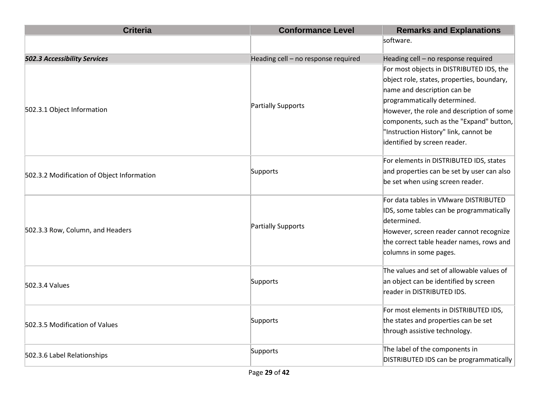| <b>Criteria</b>                            | <b>Conformance Level</b>            | <b>Remarks and Explanations</b>            |
|--------------------------------------------|-------------------------------------|--------------------------------------------|
|                                            |                                     | software.                                  |
| 502.3 Accessibility Services               | Heading cell - no response required | Heading cell - no response required        |
|                                            |                                     | For most objects in DISTRIBUTED IDS, the   |
|                                            |                                     | object role, states, properties, boundary, |
|                                            |                                     | name and description can be                |
|                                            |                                     | programmatically determined.               |
| 502.3.1 Object Information                 | Partially Supports                  | However, the role and description of some  |
|                                            |                                     | components, such as the "Expand" button,   |
|                                            |                                     | "Instruction History" link, cannot be      |
|                                            |                                     | identified by screen reader.               |
|                                            |                                     | For elements in DISTRIBUTED IDS, states    |
| 502.3.2 Modification of Object Information | Supports                            | and properties can be set by user can also |
|                                            |                                     | be set when using screen reader.           |
|                                            |                                     | For data tables in VMware DISTRIBUTED      |
|                                            |                                     | IDS, some tables can be programmatically   |
|                                            | Partially Supports                  | determined.                                |
| 502.3.3 Row, Column, and Headers           |                                     | However, screen reader cannot recognize    |
|                                            |                                     | the correct table header names, rows and   |
|                                            |                                     | columns in some pages.                     |
|                                            |                                     | The values and set of allowable values of  |
| 502.3.4 Values                             | Supports                            | an object can be identified by screen      |
|                                            |                                     | reader in DISTRIBUTED IDS.                 |
|                                            |                                     | For most elements in DISTRIBUTED IDS,      |
| 502.3.5 Modification of Values             | Supports                            | the states and properties can be set       |
|                                            |                                     | through assistive technology.              |
|                                            | Supports                            | The label of the components in             |
| 502.3.6 Label Relationships                |                                     | DISTRIBUTED IDS can be programmatically    |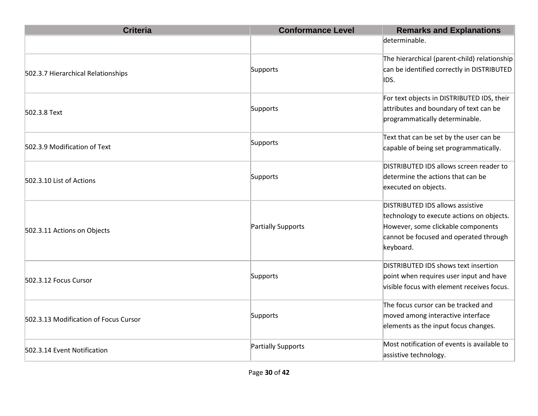| <b>Criteria</b>                       | <b>Conformance Level</b> | <b>Remarks and Explanations</b>                                                                                                                                            |
|---------------------------------------|--------------------------|----------------------------------------------------------------------------------------------------------------------------------------------------------------------------|
|                                       |                          | determinable.                                                                                                                                                              |
| 502.3.7 Hierarchical Relationships    | Supports                 | The hierarchical (parent-child) relationship<br>can be identified correctly in DISTRIBUTED<br>IDS.                                                                         |
| 502.3.8 Text                          | Supports                 | For text objects in DISTRIBUTED IDS, their<br>attributes and boundary of text can be<br>programmatically determinable.                                                     |
| 502.3.9 Modification of Text          | Supports                 | Text that can be set by the user can be<br>capable of being set programmatically.                                                                                          |
| 502.3.10 List of Actions              | Supports                 | DISTRIBUTED IDS allows screen reader to<br>determine the actions that can be<br>executed on objects.                                                                       |
| 502.3.11 Actions on Objects           | Partially Supports       | DISTRIBUTED IDS allows assistive<br>technology to execute actions on objects.<br>However, some clickable components<br>cannot be focused and operated through<br>keyboard. |
| 502.3.12 Focus Cursor                 | Supports                 | DISTRIBUTED IDS shows text insertion<br>point when requires user input and have<br>visible focus with element receives focus.                                              |
| 502.3.13 Modification of Focus Cursor | Supports                 | The focus cursor can be tracked and<br>moved among interactive interface<br>elements as the input focus changes.                                                           |
| 502.3.14 Event Notification           | Partially Supports       | Most notification of events is available to<br>assistive technology.                                                                                                       |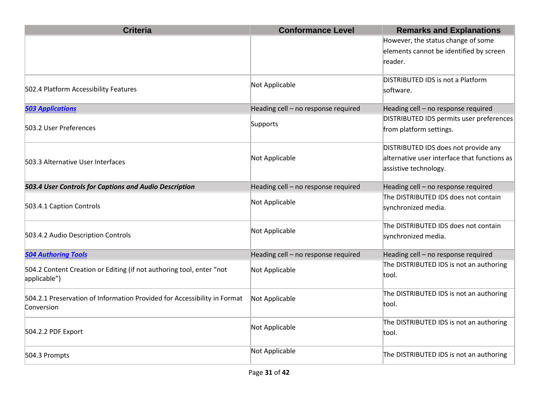| <b>Criteria</b>                                                                        | <b>Conformance Level</b>            | <b>Remarks and Explanations</b>                                                                               |
|----------------------------------------------------------------------------------------|-------------------------------------|---------------------------------------------------------------------------------------------------------------|
|                                                                                        |                                     | However, the status change of some<br>elements cannot be identified by screen<br>reader.                      |
| 502.4 Platform Accessibility Features                                                  | Not Applicable                      | DISTRIBUTED IDS is not a Platform<br>software.                                                                |
| <b>503 Applications</b>                                                                | Heading cell - no response required | Heading cell - no response required                                                                           |
| 503.2 User Preferences                                                                 | Supports                            | DISTRIBUTED IDS permits user preferences<br>from platform settings.                                           |
| 503.3 Alternative User Interfaces                                                      | Not Applicable                      | DISTRIBUTED IDS does not provide any<br>alternative user interface that functions as<br>assistive technology. |
| 503.4 User Controls for Captions and Audio Description                                 | Heading cell - no response required | Heading cell - no response required                                                                           |
| 503.4.1 Caption Controls                                                               | Not Applicable                      | The DISTRIBUTED IDS does not contain<br>synchronized media.                                                   |
| 503.4.2 Audio Description Controls                                                     | Not Applicable                      | The DISTRIBUTED IDS does not contain<br>synchronized media.                                                   |
| <b>504 Authoring Tools</b>                                                             | Heading cell - no response required | Heading cell - no response required                                                                           |
| 504.2 Content Creation or Editing (if not authoring tool, enter "not<br>applicable")   | Not Applicable                      | The DISTRIBUTED IDS is not an authoring<br>tool.                                                              |
| 504.2.1 Preservation of Information Provided for Accessibility in Format<br>Conversion | Not Applicable                      | The DISTRIBUTED IDS is not an authoring<br>ltool.                                                             |
| 504.2.2 PDF Export                                                                     | Not Applicable                      | The DISTRIBUTED IDS is not an authoring<br>tool.                                                              |
| 504.3 Prompts                                                                          | Not Applicable                      | The DISTRIBUTED IDS is not an authoring                                                                       |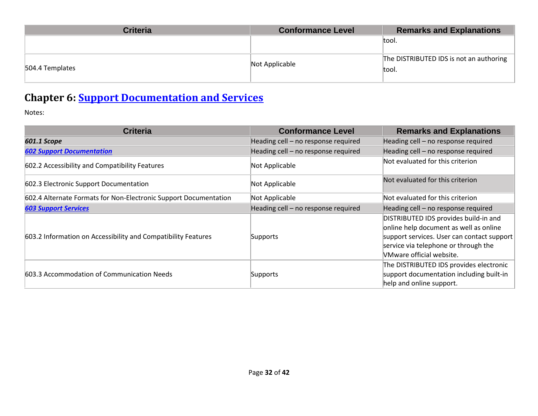| <b>Criteria</b> | <b>Conformance Level</b> | <b>Remarks and Explanations</b>                  |
|-----------------|--------------------------|--------------------------------------------------|
|                 |                          | tool.                                            |
| 504.4 Templates | Not Applicable           | The DISTRIBUTED IDS is not an authoring<br>tool. |

# **Chapter 6: [Support Documentation and Services](https://www.access-board.gov/guidelines-and-standards/communications-and-it/about-the-ict-refresh/final-rule/text-of-the-standards-and-guidelines#601-general)**

| <b>Criteria</b>                                                  | <b>Conformance Level</b>            | <b>Remarks and Explanations</b>                                                                                                                                                                          |
|------------------------------------------------------------------|-------------------------------------|----------------------------------------------------------------------------------------------------------------------------------------------------------------------------------------------------------|
| <b>601.1 Scope</b>                                               | Heading cell - no response required | Heading cell - no response required                                                                                                                                                                      |
| <b>602 Support Documentation</b>                                 | Heading cell - no response required | Heading cell - no response required                                                                                                                                                                      |
| 602.2 Accessibility and Compatibility Features                   | Not Applicable                      | Not evaluated for this criterion                                                                                                                                                                         |
| 602.3 Electronic Support Documentation                           | Not Applicable                      | Not evaluated for this criterion                                                                                                                                                                         |
| 602.4 Alternate Formats for Non-Electronic Support Documentation | Not Applicable                      | Not evaluated for this criterion                                                                                                                                                                         |
| <b>603 Support Services</b>                                      | Heading cell - no response required | Heading cell - no response required                                                                                                                                                                      |
| 603.2 Information on Accessibility and Compatibility Features    | Supports                            | DISTRIBUTED IDS provides build-in and<br>online help document as well as online<br>support services. User can contact support<br>service via telephone or through the<br><b>NMware official website.</b> |
| 603.3 Accommodation of Communication Needs                       | Supports                            | The DISTRIBUTED IDS provides electronic<br>support documentation including built-in<br>help and online support.                                                                                          |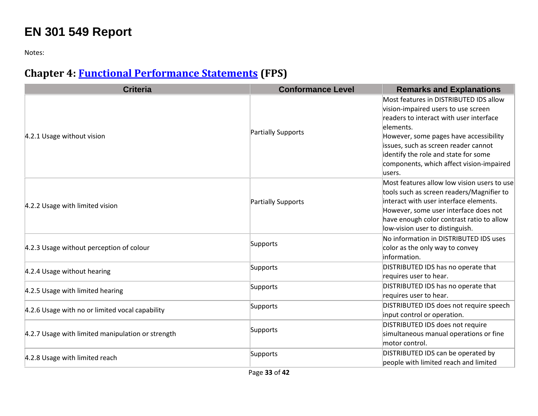# **EN 301 549 Report**

Notes:

## **Chapter 4: [Functional Performance Statements](https://www.etsi.org/deliver/etsi_en/301500_301599/301549/03.01.01_60/en_301549v030101p.pdf#%5B%7B%22num%22%3A38%2C%22gen%22%3A0%7D%2C%7B%22name%22%3A%22XYZ%22%7D%2C54%2C747%2C0%5D) (FPS)**

| <b>Criteria</b>                                   | <b>Conformance Level</b> | <b>Remarks and Explanations</b>                                                                                                                                                                                                                                                                                       |
|---------------------------------------------------|--------------------------|-----------------------------------------------------------------------------------------------------------------------------------------------------------------------------------------------------------------------------------------------------------------------------------------------------------------------|
| 4.2.1 Usage without vision                        | Partially Supports       | Most features in DISTRIBUTED IDS allow<br>vision-impaired users to use screen<br>readers to interact with user interface<br>elements.<br>However, some pages have accessibility<br>issues, such as screen reader cannot<br>identify the role and state for some<br>components, which affect vision-impaired<br>users. |
| 4.2.2 Usage with limited vision                   | Partially Supports       | Most features allow low vision users to use<br>tools such as screen readers/Magnifier to<br>interact with user interface elements.<br>However, some user interface does not<br>have enough color contrast ratio to allow<br>low-vision user to distinguish.                                                           |
| 4.2.3 Usage without perception of colour          | Supports                 | No information in DISTRIBUTED IDS uses<br>color as the only way to convey<br>information.                                                                                                                                                                                                                             |
| 4.2.4 Usage without hearing                       | Supports                 | DISTRIBUTED IDS has no operate that<br>requires user to hear.                                                                                                                                                                                                                                                         |
| 4.2.5 Usage with limited hearing                  | Supports                 | DISTRIBUTED IDS has no operate that<br>requires user to hear.                                                                                                                                                                                                                                                         |
| 4.2.6 Usage with no or limited vocal capability   | Supports                 | DISTRIBUTED IDS does not require speech<br>input control or operation.                                                                                                                                                                                                                                                |
| 4.2.7 Usage with limited manipulation or strength | Supports                 | DISTRIBUTED IDS does not require<br>simultaneous manual operations or fine<br>motor control.                                                                                                                                                                                                                          |
| 4.2.8 Usage with limited reach                    | Supports                 | DISTRIBUTED IDS can be operated by<br>people with limited reach and limited                                                                                                                                                                                                                                           |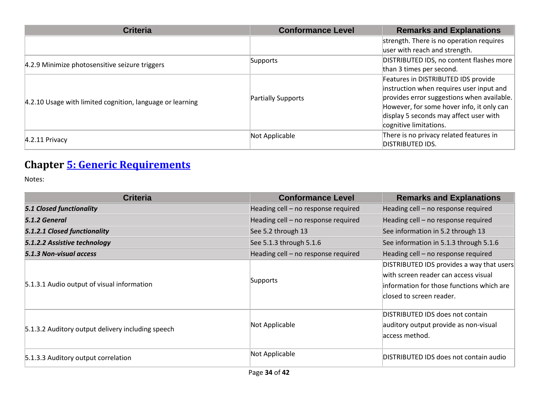| <b>Criteria</b>                                           | <b>Conformance Level</b> | <b>Remarks and Explanations</b>            |
|-----------------------------------------------------------|--------------------------|--------------------------------------------|
|                                                           |                          | strength. There is no operation requires   |
|                                                           |                          | user with reach and strength.              |
| 4.2.9 Minimize photosensitive seizure triggers            | Supports                 | DISTRIBUTED IDS, no content flashes more   |
|                                                           |                          | than 3 times per second.                   |
|                                                           |                          | Features in DISTRIBUTED IDS provide        |
| 4.2.10 Usage with limited cognition, language or learning |                          | instruction when requires user input and   |
|                                                           | Partially Supports       | provides error suggestions when available. |
|                                                           |                          | However, for some hover info, it only can  |
|                                                           |                          | display 5 seconds may affect user with     |
|                                                           |                          | cognitive limitations.                     |
| $4.2.11$ Privacy                                          | Not Applicable           | There is no privacy related features in    |
|                                                           |                          | <b>DISTRIBUTED IDS.</b>                    |

## **Chapter [5: Generic Requirements](https://www.etsi.org/deliver/etsi_en/301500_301599/301549/03.01.01_60/en_301549v030101p.pdf#%5B%7B%22num%22%3A45%2C%22gen%22%3A0%7D%2C%7B%22name%22%3A%22XYZ%22%7D%2C54%2C747%2C0%5D)**

| <b>Criteria</b>                                   | <b>Conformance Level</b>            | <b>Remarks and Explanations</b>                                                                                                                            |
|---------------------------------------------------|-------------------------------------|------------------------------------------------------------------------------------------------------------------------------------------------------------|
| <b>5.1 Closed functionality</b>                   | Heading cell - no response required | Heading cell - no response required                                                                                                                        |
| 5.1.2 General                                     | Heading cell - no response required | Heading cell - no response required                                                                                                                        |
| 5.1.2.1 Closed functionality                      | See 5.2 through 13                  | See information in 5.2 through 13                                                                                                                          |
| 5.1.2.2 Assistive technology                      | See 5.1.3 through 5.1.6             | See information in 5.1.3 through 5.1.6                                                                                                                     |
| 5.1.3 Non-visual access                           | Heading cell - no response required | Heading cell - no response required                                                                                                                        |
| 5.1.3.1 Audio output of visual information        | Supports                            | DISTRIBUTED IDS provides a way that users<br>with screen reader can access visual<br>information for those functions which are<br>closed to screen reader. |
| 5.1.3.2 Auditory output delivery including speech | Not Applicable                      | DISTRIBUTED IDS does not contain<br>auditory output provide as non-visual<br>access method.                                                                |
| 5.1.3.3 Auditory output correlation               | Not Applicable                      | DISTRIBUTED IDS does not contain audio                                                                                                                     |
| $D = 20$                                          |                                     |                                                                                                                                                            |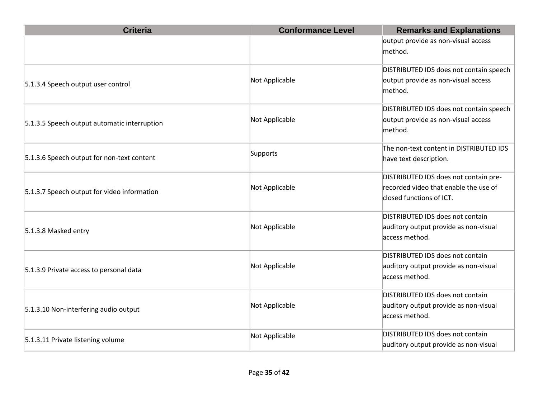| <b>Criteria</b>                              | <b>Conformance Level</b> | <b>Remarks and Explanations</b>                                   |
|----------------------------------------------|--------------------------|-------------------------------------------------------------------|
|                                              |                          | output provide as non-visual access                               |
|                                              |                          | method.                                                           |
|                                              |                          | DISTRIBUTED IDS does not contain speech                           |
| 5.1.3.4 Speech output user control           | Not Applicable           | output provide as non-visual access<br>method.                    |
|                                              |                          | DISTRIBUTED IDS does not contain speech                           |
| 5.1.3.5 Speech output automatic interruption | Not Applicable           | output provide as non-visual access<br>method.                    |
| 5.1.3.6 Speech output for non-text content   | Supports                 | The non-text content in DISTRIBUTED IDS<br>have text description. |
|                                              |                          | DISTRIBUTED IDS does not contain pre-                             |
| 5.1.3.7 Speech output for video information  | Not Applicable           | recorded video that enable the use of                             |
|                                              |                          | closed functions of ICT.                                          |
|                                              |                          | DISTRIBUTED IDS does not contain                                  |
| 5.1.3.8 Masked entry                         | Not Applicable           | auditory output provide as non-visual                             |
|                                              |                          | access method.                                                    |
|                                              |                          | DISTRIBUTED IDS does not contain                                  |
| 5.1.3.9 Private access to personal data      | Not Applicable           | auditory output provide as non-visual                             |
|                                              |                          | access method.                                                    |
|                                              |                          | DISTRIBUTED IDS does not contain                                  |
| 5.1.3.10 Non-interfering audio output        | Not Applicable           | auditory output provide as non-visual                             |
|                                              |                          | access method.                                                    |
|                                              | Not Applicable           | DISTRIBUTED IDS does not contain                                  |
| 5.1.3.11 Private listening volume            |                          | auditory output provide as non-visual                             |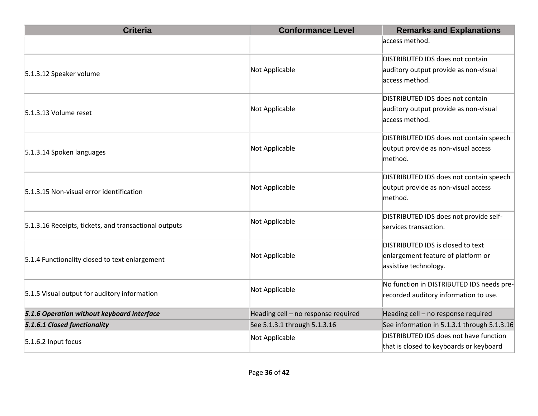| <b>Criteria</b>                                       | <b>Conformance Level</b>            | <b>Remarks and Explanations</b>             |
|-------------------------------------------------------|-------------------------------------|---------------------------------------------|
|                                                       |                                     | access method.                              |
|                                                       |                                     | DISTRIBUTED IDS does not contain            |
| 5.1.3.12 Speaker volume                               | Not Applicable                      | auditory output provide as non-visual       |
|                                                       |                                     | access method.                              |
|                                                       |                                     | DISTRIBUTED IDS does not contain            |
| 5.1.3.13 Volume reset                                 | Not Applicable                      | auditory output provide as non-visual       |
|                                                       |                                     | access method.                              |
|                                                       |                                     | DISTRIBUTED IDS does not contain speech     |
| 5.1.3.14 Spoken languages                             | Not Applicable                      | output provide as non-visual access         |
|                                                       |                                     | method.                                     |
|                                                       |                                     | DISTRIBUTED IDS does not contain speech     |
| 5.1.3.15 Non-visual error identification              | Not Applicable                      | output provide as non-visual access         |
|                                                       |                                     | method.                                     |
|                                                       | Not Applicable                      | DISTRIBUTED IDS does not provide self-      |
| 5.1.3.16 Receipts, tickets, and transactional outputs |                                     | services transaction.                       |
|                                                       |                                     | DISTRIBUTED IDS is closed to text           |
| 5.1.4 Functionality closed to text enlargement        | Not Applicable                      | enlargement feature of platform or          |
|                                                       |                                     | assistive technology.                       |
| 5.1.5 Visual output for auditory information          | Not Applicable                      | No function in DISTRIBUTED IDS needs pre-   |
|                                                       |                                     | recorded auditory information to use.       |
| 5.1.6 Operation without keyboard interface            | Heading cell - no response required | Heading cell - no response required         |
| 5.1.6.1 Closed functionality                          | See 5.1.3.1 through 5.1.3.16        | See information in 5.1.3.1 through 5.1.3.16 |
| 5.1.6.2 Input focus                                   | Not Applicable                      | DISTRIBUTED IDS does not have function      |
|                                                       |                                     | that is closed to keyboards or keyboard     |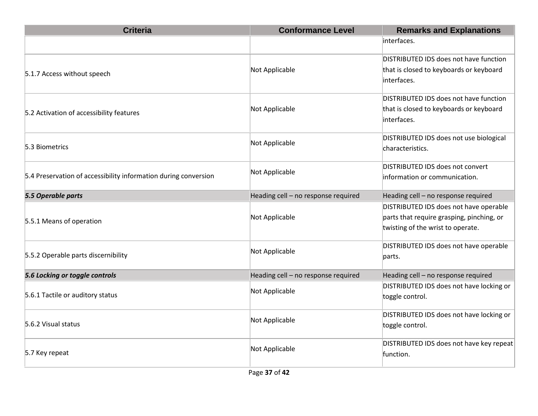| <b>Criteria</b>                                                 | <b>Conformance Level</b>            | <b>Remarks and Explanations</b>                                                                                          |
|-----------------------------------------------------------------|-------------------------------------|--------------------------------------------------------------------------------------------------------------------------|
|                                                                 |                                     | interfaces.                                                                                                              |
| 5.1.7 Access without speech                                     | Not Applicable                      | DISTRIBUTED IDS does not have function<br>that is closed to keyboards or keyboard<br>interfaces.                         |
| 5.2 Activation of accessibility features                        | Not Applicable                      | DISTRIBUTED IDS does not have function<br>that is closed to keyboards or keyboard<br>interfaces.                         |
| 5.3 Biometrics                                                  | Not Applicable                      | DISTRIBUTED IDS does not use biological<br>characteristics.                                                              |
| 5.4 Preservation of accessibility information during conversion | Not Applicable                      | DISTRIBUTED IDS does not convert<br>information or communication.                                                        |
| 5.5 Operable parts                                              | Heading cell - no response required | Heading cell - no response required                                                                                      |
| 5.5.1 Means of operation                                        | Not Applicable                      | DISTRIBUTED IDS does not have operable<br>parts that require grasping, pinching, or<br>twisting of the wrist to operate. |
| 5.5.2 Operable parts discernibility                             | Not Applicable                      | DISTRIBUTED IDS does not have operable<br>parts.                                                                         |
| 5.6 Locking or toggle controls                                  | Heading cell - no response required | Heading cell - no response required                                                                                      |
| 5.6.1 Tactile or auditory status                                | Not Applicable                      | DISTRIBUTED IDS does not have locking or<br>toggle control.                                                              |
| 5.6.2 Visual status                                             | Not Applicable                      | DISTRIBUTED IDS does not have locking or<br>toggle control.                                                              |
| 5.7 Key repeat                                                  | Not Applicable                      | DISTRIBUTED IDS does not have key repeat<br>function.                                                                    |
|                                                                 |                                     |                                                                                                                          |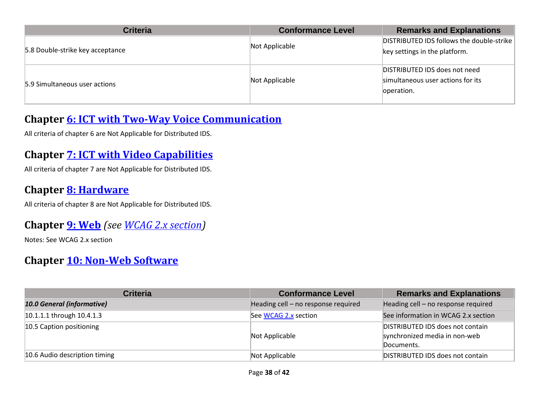| <b>Criteria</b>                  | <b>Conformance Level</b> | <b>Remarks and Explanations</b>                                                  |
|----------------------------------|--------------------------|----------------------------------------------------------------------------------|
| 5.8 Double-strike key acceptance | Not Applicable           | DISTRIBUTED IDS follows the double-strike<br>key settings in the platform.       |
| 5.9 Simultaneous user actions    | Not Applicable           | DISTRIBUTED IDS does not need<br>simultaneous user actions for its<br>operation. |

#### **Chapter [6: ICT with Two-Way Voice Communication](https://www.etsi.org/deliver/etsi_en/301500_301599/301549/03.01.01_60/en_301549v030101p.pdf#%5B%7B%22num%22%3A60%2C%22gen%22%3A0%7D%2C%7B%22name%22%3A%22XYZ%22%7D%2C54%2C747%2C0%5D)**

All criteria of chapter 6 are Not Applicable for Distributed IDS.

#### **Chapter [7: ICT with Video Capabilities](https://www.etsi.org/deliver/etsi_en/301500_301599/301549/03.01.01_60/en_301549v030101p.pdf#%5B%7B%22num%22%3A70%2C%22gen%22%3A0%7D%2C%7B%22name%22%3A%22XYZ%22%7D%2C54%2C747%2C0%5D)**

All criteria of chapter 7 are Not Applicable for Distributed IDS.

#### **Chapter [8: Hardware](https://www.etsi.org/deliver/etsi_en/301500_301599/301549/03.01.01_60/en_301549v030101p.pdf#%5B%7B%22num%22%3A74%2C%22gen%22%3A0%7D%2C%7B%22name%22%3A%22XYZ%22%7D%2C54%2C747%2C0%5D)**

All criteria of chapter 8 are Not Applicable for Distributed IDS.

#### **Chapter [9: Web](https://www.etsi.org/deliver/etsi_en/301500_301599/301549/03.01.01_60/en_301549v030101p.pdf#%5B%7B%22num%22%3A113%2C%22gen%22%3A0%7D%2C%7B%22name%22%3A%22XYZ%22%7D%2C54%2C747%2C0%5D)** *(see [WCAG 2.x](#page-2-0) section)*

Notes: See WCAG 2.x section

#### **Chapter [10: Non-Web Software](https://www.etsi.org/deliver/etsi_en/301500_301599/301549/03.01.01_60/en_301549v030101p.pdf#%5B%7B%22num%22%3A127%2C%22gen%22%3A0%7D%2C%7B%22name%22%3A%22XYZ%22%7D%2C54%2C747%2C0%5D)**

| <b>Criteria</b>               | <b>Conformance Level</b>            | <b>Remarks and Explanations</b>                                                 |
|-------------------------------|-------------------------------------|---------------------------------------------------------------------------------|
| 10.0 General (informative)    | Heading cell - no response required | Heading cell - no response required                                             |
| 10.1.1.1 through 10.4.1.3     | See WCAG 2.x section                | See information in WCAG 2.x section                                             |
| 10.5 Caption positioning      | Not Applicable                      | DISTRIBUTED IDS does not contain<br>synchronized media in non-web<br>Documents. |
| 10.6 Audio description timing | Not Applicable                      | DISTRIBUTED IDS does not contain                                                |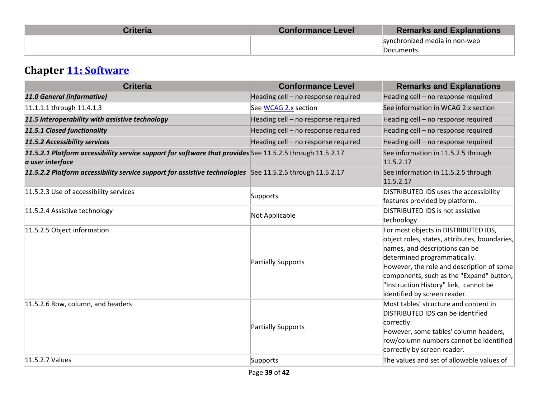| <b>Criteria</b> | <b>Conformance Level</b> | <b>Remarks and Explanations</b> |
|-----------------|--------------------------|---------------------------------|
|                 |                          | synchronized media in non-web   |
|                 |                          | Documents.                      |

# **Chapter [11: Software](https://www.etsi.org/deliver/etsi_en/301500_301599/301549/03.01.01_60/en_301549v030101p.pdf#%5B%7B%22num%22%3A149%2C%22gen%22%3A0%7D%2C%7B%22name%22%3A%22XYZ%22%7D%2C54%2C747%2C0%5D)**

| <b>Criteria</b>                                                                                                               | <b>Conformance Level</b>            | <b>Remarks and Explanations</b>                                                                                                                                                                                                                                                                                           |
|-------------------------------------------------------------------------------------------------------------------------------|-------------------------------------|---------------------------------------------------------------------------------------------------------------------------------------------------------------------------------------------------------------------------------------------------------------------------------------------------------------------------|
| 11.0 General (informative)                                                                                                    | Heading cell - no response required | Heading cell - no response required                                                                                                                                                                                                                                                                                       |
| 11.1.1.1 through 11.4.1.3                                                                                                     | See WCAG 2.x section                | See information in WCAG 2.x section                                                                                                                                                                                                                                                                                       |
| 11.5 Interoperability with assistive technology                                                                               | Heading cell - no response required | Heading cell - no response required                                                                                                                                                                                                                                                                                       |
| 11.5.1 Closed functionality                                                                                                   | Heading cell - no response required | Heading cell - no response required                                                                                                                                                                                                                                                                                       |
| 11.5.2 Accessibility services                                                                                                 | Heading cell - no response required | Heading cell - no response required                                                                                                                                                                                                                                                                                       |
| 11.5.2.1 Platform accessibility service support for software that provides See 11.5.2.5 through 11.5.2.17<br>a user interface |                                     | See information in 11.5.2.5 through<br>11.5.2.17                                                                                                                                                                                                                                                                          |
| 11.5.2.2 Platform accessibility service support for assistive technologies See 11.5.2.5 through 11.5.2.17                     |                                     | See information in 11.5.2.5 through<br>11.5.2.17                                                                                                                                                                                                                                                                          |
| 11.5.2.3 Use of accessibility services                                                                                        | Supports                            | DISTRIBUTED IDS uses the accessibility<br>features provided by platform.                                                                                                                                                                                                                                                  |
| 11.5.2.4 Assistive technology                                                                                                 | Not Applicable                      | DISTRIBUTED IDS is not assistive<br>technology.                                                                                                                                                                                                                                                                           |
| 11.5.2.5 Object information                                                                                                   | Partially Supports                  | For most objects in DISTRIBUTED IDS,<br>object roles, states, attributes, boundaries,<br>names, and descriptions can be<br>determined programmatically.<br>However, the role and description of some<br>components, such as the "Expand" button,<br>"Instruction History" link, cannot be<br>identified by screen reader. |
| 11.5.2.6 Row, column, and headers                                                                                             | Partially Supports                  | Most tables' structure and content in<br>DISTRIBUTED IDS can be identified<br>correctly.<br>However, some tables' column headers,<br>row/column numbers cannot be identified<br>correctly by screen reader.                                                                                                               |
| 11.5.2.7 Values                                                                                                               | Supports                            | The values and set of allowable values of                                                                                                                                                                                                                                                                                 |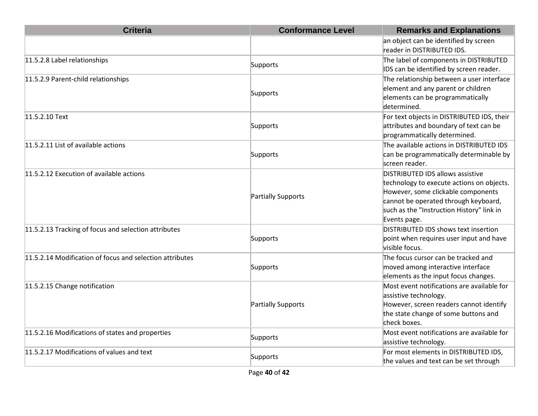| <b>Criteria</b>                                          | <b>Conformance Level</b> | <b>Remarks and Explanations</b>                                                                                                                                                                                                 |
|----------------------------------------------------------|--------------------------|---------------------------------------------------------------------------------------------------------------------------------------------------------------------------------------------------------------------------------|
|                                                          |                          | an object can be identified by screen<br>reader in DISTRIBUTED IDS.                                                                                                                                                             |
| 11.5.2.8 Label relationships                             | Supports                 | The label of components in DISTRIBUTED<br>IDS can be identified by screen reader.                                                                                                                                               |
| 11.5.2.9 Parent-child relationships                      | Supports                 | The relationship between a user interface<br>element and any parent or children<br>elements can be programmatically<br>determined.                                                                                              |
| 11.5.2.10 Text                                           | Supports                 | For text objects in DISTRIBUTED IDS, their<br>attributes and boundary of text can be<br>programmatically determined.                                                                                                            |
| 11.5.2.11 List of available actions                      | Supports                 | The available actions in DISTRIBUTED IDS<br>can be programmatically determinable by<br>screen reader.                                                                                                                           |
| 11.5.2.12 Execution of available actions                 | Partially Supports       | <b>DISTRIBUTED IDS allows assistive</b><br>technology to execute actions on objects.<br>However, some clickable components<br>cannot be operated through keyboard,<br>such as the "Instruction History" link in<br>Events page. |
| 11.5.2.13 Tracking of focus and selection attributes     | Supports                 | DISTRIBUTED IDS shows text insertion<br>point when requires user input and have<br>visible focus.                                                                                                                               |
| 11.5.2.14 Modification of focus and selection attributes | Supports                 | The focus cursor can be tracked and<br>moved among interactive interface<br>elements as the input focus changes.                                                                                                                |
| 11.5.2.15 Change notification                            | Partially Supports       | Most event notifications are available for<br>assistive technology.<br>However, screen readers cannot identify<br>the state change of some buttons and<br>check boxes.                                                          |
| 11.5.2.16 Modifications of states and properties         | Supports                 | Most event notifications are available for<br>assistive technology.                                                                                                                                                             |
| 11.5.2.17 Modifications of values and text               | Supports                 | For most elements in DISTRIBUTED IDS,<br>the values and text can be set through                                                                                                                                                 |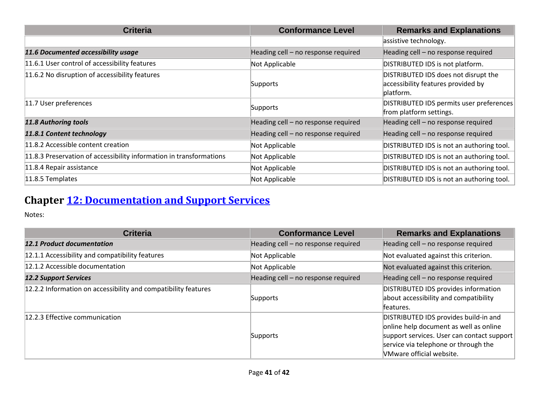| <b>Criteria</b>                                                     | <b>Conformance Level</b>            | <b>Remarks and Explanations</b>                                                         |
|---------------------------------------------------------------------|-------------------------------------|-----------------------------------------------------------------------------------------|
|                                                                     |                                     | assistive technology.                                                                   |
| 11.6 Documented accessibility usage                                 | Heading cell - no response required | Heading cell - no response required                                                     |
| 11.6.1 User control of accessibility features                       | Not Applicable                      | DISTRIBUTED IDS is not platform.                                                        |
| 11.6.2 No disruption of accessibility features                      | Supports                            | DISTRIBUTED IDS does not disrupt the<br>accessibility features provided by<br>platform. |
| 11.7 User preferences                                               | Supports                            | DISTRIBUTED IDS permits user preferences<br>from platform settings.                     |
| 11.8 Authoring tools                                                | Heading cell - no response required | Heading cell - no response required                                                     |
| 11.8.1 Content technology                                           | Heading cell - no response required | Heading cell - no response required                                                     |
| 11.8.2 Accessible content creation                                  | Not Applicable                      | DISTRIBUTED IDS is not an authoring tool.                                               |
| 11.8.3 Preservation of accessibility information in transformations | Not Applicable                      | DISTRIBUTED IDS is not an authoring tool.                                               |
| 11.8.4 Repair assistance                                            | Not Applicable                      | DISTRIBUTED IDS is not an authoring tool.                                               |
| 11.8.5 Templates                                                    | Not Applicable                      | DISTRIBUTED IDS is not an authoring tool.                                               |

# **Chapter [12: Documentation and Support Services](https://www.etsi.org/deliver/etsi_en/301500_301599/301549/03.01.01_60/en_301549v030101p.pdf#%5B%7B%22num%22%3A187%2C%22gen%22%3A0%7D%2C%7B%22name%22%3A%22XYZ%22%7D%2C54%2C747%2C0%5D)**

| <b>Criteria</b>                                                | <b>Conformance Level</b>            | <b>Remarks and Explanations</b>                                                                                                                                                                   |
|----------------------------------------------------------------|-------------------------------------|---------------------------------------------------------------------------------------------------------------------------------------------------------------------------------------------------|
| <b>12.1 Product documentation</b>                              | Heading cell - no response required | Heading cell - no response required                                                                                                                                                               |
| 12.1.1 Accessibility and compatibility features                | Not Applicable                      | Not evaluated against this criterion.                                                                                                                                                             |
| 12.1.2 Accessible documentation                                | Not Applicable                      | Not evaluated against this criterion.                                                                                                                                                             |
| <b>12.2 Support Services</b>                                   | Heading cell - no response required | Heading cell - no response required                                                                                                                                                               |
| 12.2.2 Information on accessibility and compatibility features | Supports                            | DISTRIBUTED IDS provides information<br>about accessibility and compatibility<br>features.                                                                                                        |
| 12.2.3 Effective communication                                 | Supports                            | DISTRIBUTED IDS provides build-in and<br>online help document as well as online<br>support services. User can contact support<br>service via telephone or through the<br>VMware official website. |